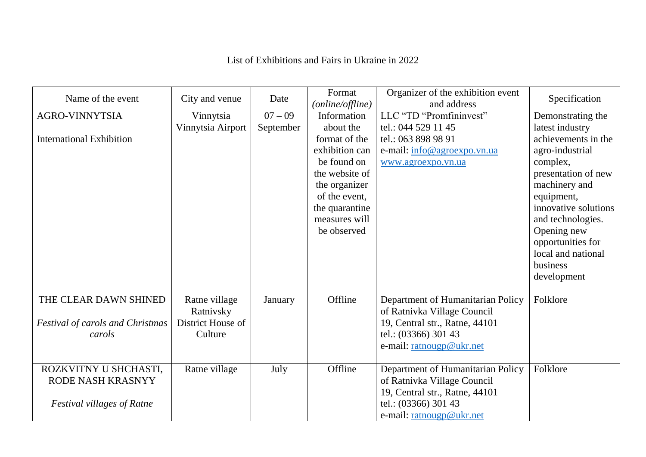## List of Exhibitions and Fairs in Ukraine in 2022

| Name of the event                                                               | City and venue                                             | Date      | Format<br>(online/offline)                                                                                                                                        | Organizer of the exhibition event<br>and address                                                                                                       | Specification                                                                                                                                                                                                                                                 |
|---------------------------------------------------------------------------------|------------------------------------------------------------|-----------|-------------------------------------------------------------------------------------------------------------------------------------------------------------------|--------------------------------------------------------------------------------------------------------------------------------------------------------|---------------------------------------------------------------------------------------------------------------------------------------------------------------------------------------------------------------------------------------------------------------|
| <b>AGRO-VINNYTSIA</b>                                                           | Vinnytsia                                                  | $07 - 09$ | Information                                                                                                                                                       | LLC "TD "Promfininvest"                                                                                                                                | Demonstrating the                                                                                                                                                                                                                                             |
| <b>International Exhibition</b>                                                 | Vinnytsia Airport                                          | September | about the<br>format of the<br>exhibition can<br>be found on<br>the website of<br>the organizer<br>of the event,<br>the quarantine<br>measures will<br>be observed | tel.: 044 529 11 45<br>tel.: 063 898 98 91<br>e-mail: info@agroexpo.vn.ua<br>www.agroexpo.vn.ua                                                        | latest industry<br>achievements in the<br>agro-industrial<br>complex,<br>presentation of new<br>machinery and<br>equipment,<br>innovative solutions<br>and technologies.<br>Opening new<br>opportunities for<br>local and national<br>business<br>development |
|                                                                                 |                                                            |           |                                                                                                                                                                   |                                                                                                                                                        |                                                                                                                                                                                                                                                               |
| THE CLEAR DAWN SHINED<br><b>Festival of carols and Christmas</b><br>carols      | Ratne village<br>Ratnivsky<br>District House of<br>Culture | January   | Offline                                                                                                                                                           | Department of Humanitarian Policy<br>of Ratnivka Village Council<br>19, Central str., Ratne, 44101<br>tel.: (03366) 301 43<br>e-mail: ratnougp@ukr.net | Folklore                                                                                                                                                                                                                                                      |
| ROZKVITNY U SHCHASTI,<br>RODE NASH KRASNYY<br><b>Festival villages of Ratne</b> | Ratne village                                              | July      | Offline                                                                                                                                                           | Department of Humanitarian Policy<br>of Ratnivka Village Council<br>19, Central str., Ratne, 44101<br>tel.: (03366) 301 43<br>e-mail: ratnougp@ukr.net | Folklore                                                                                                                                                                                                                                                      |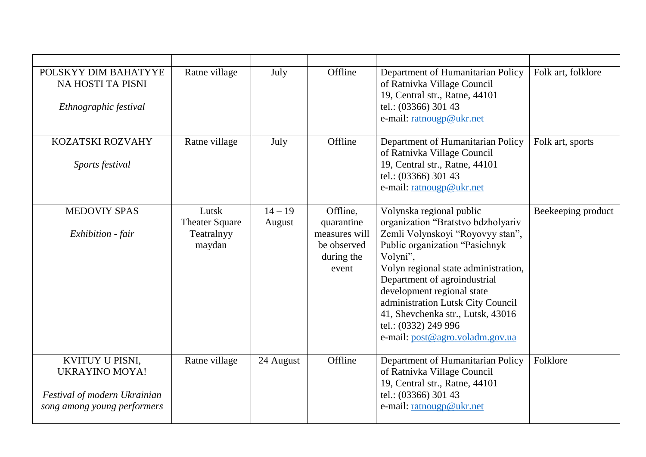| POLSKYY DIM BAHATYYE<br>NA HOSTI TA PISNI<br>Ethnographic festival                                      | Ratne village                                          | July                | Offline                                                                       | Department of Humanitarian Policy<br>of Ratnivka Village Council<br>19, Central str., Ratne, 44101<br>tel.: (03366) 301 43<br>e-mail: ratnougp@ukr.net                                                                                                                                                                                                                                      | Folk art, folklore |
|---------------------------------------------------------------------------------------------------------|--------------------------------------------------------|---------------------|-------------------------------------------------------------------------------|---------------------------------------------------------------------------------------------------------------------------------------------------------------------------------------------------------------------------------------------------------------------------------------------------------------------------------------------------------------------------------------------|--------------------|
| KOZATSKI ROZVAHY<br>Sports festival                                                                     | Ratne village                                          | July                | Offline                                                                       | Department of Humanitarian Policy<br>of Ratnivka Village Council<br>19, Central str., Ratne, 44101<br>tel.: (03366) 301 43<br>e-mail: ratnougp@ukr.net                                                                                                                                                                                                                                      | Folk art, sports   |
| <b>MEDOVIY SPAS</b><br>Exhibition - fair                                                                | Lutsk<br><b>Theater Square</b><br>Teatralnyy<br>maydan | $14 - 19$<br>August | Offline,<br>quarantine<br>measures will<br>be observed<br>during the<br>event | Volynska regional public<br>organization "Bratstvo bdzholyariv<br>Zemli Volynskoyi "Royovyy stan",<br>Public organization "Pasichnyk<br>Volyni",<br>Volyn regional state administration,<br>Department of agroindustrial<br>development regional state<br>administration Lutsk City Council<br>41, Shevchenka str., Lutsk, 43016<br>tel.: (0332) 249 996<br>e-mail: post@agro.voladm.gov.ua | Beekeeping product |
| KVITUY U PISNI,<br><b>UKRAYINO MOYA!</b><br>Festival of modern Ukrainian<br>song among young performers | Ratne village                                          | 24 August           | Offline                                                                       | Department of Humanitarian Policy<br>of Ratnivka Village Council<br>19, Central str., Ratne, 44101<br>tel.: (03366) 301 43<br>e-mail: ratnougp@ukr.net                                                                                                                                                                                                                                      | Folklore           |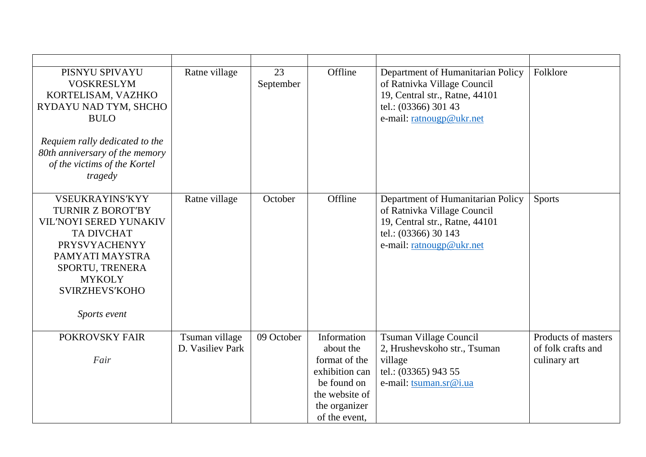| PISNYU SPIVAYU<br><b>VOSKRESLYM</b><br>KORTELISAM, VAZHKO<br>RYDAYU NAD TYM, SHCHO<br><b>BULO</b><br>Requiem rally dedicated to the<br>80th anniversary of the memory<br>of the victims of the Kortel<br>tragedy   | Ratne village                      | 23<br>September | Offline                                                                                                                        | Department of Humanitarian Policy<br>of Ratnivka Village Council<br>19, Central str., Ratne, 44101<br>tel.: (03366) 301 43<br>e-mail: ratnougp@ukr.net | Folklore                                                  |
|--------------------------------------------------------------------------------------------------------------------------------------------------------------------------------------------------------------------|------------------------------------|-----------------|--------------------------------------------------------------------------------------------------------------------------------|--------------------------------------------------------------------------------------------------------------------------------------------------------|-----------------------------------------------------------|
| <b>VSEUKRAYINS'KYY</b><br><b>TURNIR Z BOROT'BY</b><br>VIL'NOYI SERED YUNAKIV<br><b>TA DIVCHAT</b><br><b>PRYSVYACHENYY</b><br>PAMYATI MAYSTRA<br>SPORTU, TRENERA<br><b>MYKOLY</b><br>SVIRZHEVS'KOHO<br>Sports event | Ratne village                      | October         | Offline                                                                                                                        | Department of Humanitarian Policy<br>of Ratnivka Village Council<br>19, Central str., Ratne, 44101<br>tel.: (03366) 30 143<br>e-mail: ratnougp@ukr.net | <b>Sports</b>                                             |
| POKROVSKY FAIR<br>Fair                                                                                                                                                                                             | Tsuman village<br>D. Vasiliev Park | 09 October      | Information<br>about the<br>format of the<br>exhibition can<br>be found on<br>the website of<br>the organizer<br>of the event, | Tsuman Village Council<br>2, Hrushevskoho str., Tsuman<br>village<br>tel.: (03365) 943 55<br>e-mail: tsuman.sr@i.ua                                    | Products of masters<br>of folk crafts and<br>culinary art |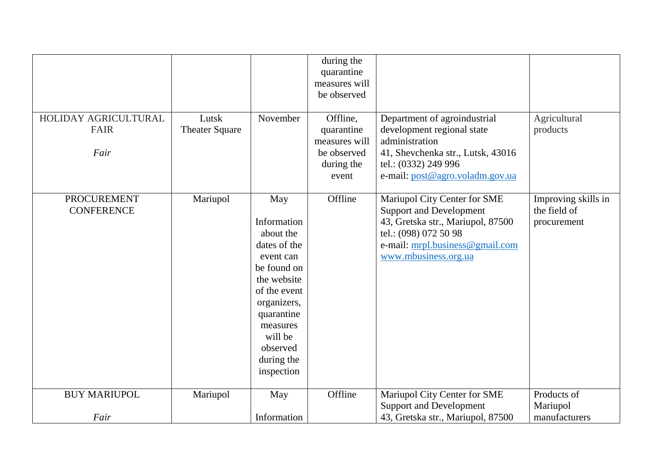|                                             |                                |                                                                                                                                                                                                        | during the<br>quarantine<br>measures will                                     |                                                                                                                                                                                         |                                                    |
|---------------------------------------------|--------------------------------|--------------------------------------------------------------------------------------------------------------------------------------------------------------------------------------------------------|-------------------------------------------------------------------------------|-----------------------------------------------------------------------------------------------------------------------------------------------------------------------------------------|----------------------------------------------------|
|                                             |                                |                                                                                                                                                                                                        | be observed                                                                   |                                                                                                                                                                                         |                                                    |
| HOLIDAY AGRICULTURAL<br><b>FAIR</b><br>Fair | Lutsk<br><b>Theater Square</b> | November                                                                                                                                                                                               | Offline,<br>quarantine<br>measures will<br>be observed<br>during the<br>event | Department of agroindustrial<br>development regional state<br>administration<br>41, Shevchenka str., Lutsk, 43016<br>tel.: (0332) 249 996<br>e-mail: post@agro.voladm.gov.ua            | Agricultural<br>products                           |
| <b>PROCUREMENT</b><br><b>CONFERENCE</b>     | Mariupol                       | May<br>Information<br>about the<br>dates of the<br>event can<br>be found on<br>the website<br>of the event<br>organizers,<br>quarantine<br>measures<br>will be<br>observed<br>during the<br>inspection | Offline                                                                       | Mariupol City Center for SME<br><b>Support and Development</b><br>43, Gretska str., Mariupol, 87500<br>tel.: (098) 072 50 98<br>e-mail: mrpl.business@gmail.com<br>www.mbusiness.org.ua | Improving skills in<br>the field of<br>procurement |
| <b>BUY MARIUPOL</b>                         | Mariupol                       | May                                                                                                                                                                                                    | Offline                                                                       | Mariupol City Center for SME<br><b>Support and Development</b>                                                                                                                          | Products of<br>Mariupol                            |
| Fair                                        |                                | Information                                                                                                                                                                                            |                                                                               | 43, Gretska str., Mariupol, 87500                                                                                                                                                       | manufacturers                                      |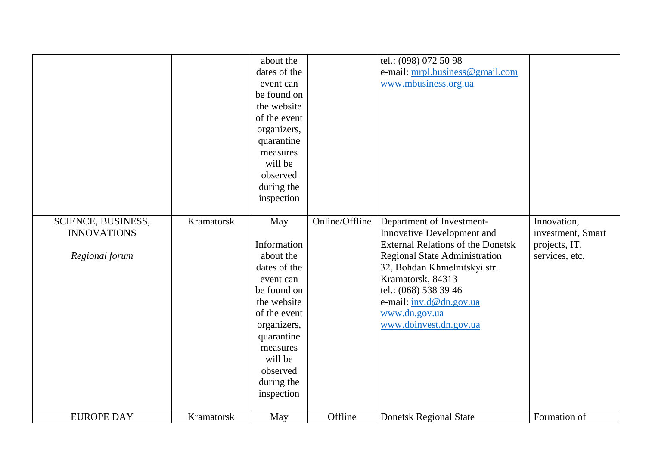|                                          |            | about the<br>dates of the<br>event can<br>be found on<br>the website<br>of the event<br>organizers,<br>quarantine<br>measures<br>will be<br>observed<br>during the<br>inspection |                | tel.: (098) 072 50 98<br>e-mail: mrpl.business@gmail.com<br>www.mbusiness.org.ua |                                  |
|------------------------------------------|------------|----------------------------------------------------------------------------------------------------------------------------------------------------------------------------------|----------------|----------------------------------------------------------------------------------|----------------------------------|
| SCIENCE, BUSINESS,<br><b>INNOVATIONS</b> | Kramatorsk | May                                                                                                                                                                              | Online/Offline | Department of Investment-<br>Innovative Development and                          | Innovation,<br>investment, Smart |
|                                          |            | Information                                                                                                                                                                      |                | <b>External Relations of the Donetsk</b>                                         | projects, IT,                    |
| Regional forum                           |            | about the                                                                                                                                                                        |                | <b>Regional State Administration</b>                                             | services, etc.                   |
|                                          |            | dates of the                                                                                                                                                                     |                | 32, Bohdan Khmelnitskyi str.                                                     |                                  |
|                                          |            | event can                                                                                                                                                                        |                | Kramatorsk, 84313                                                                |                                  |
|                                          |            | be found on                                                                                                                                                                      |                | tel.: (068) 538 39 46                                                            |                                  |
|                                          |            | the website                                                                                                                                                                      |                | e-mail: inv.d@dn.gov.ua                                                          |                                  |
|                                          |            | of the event                                                                                                                                                                     |                | www.dn.gov.ua                                                                    |                                  |
|                                          |            | organizers,<br>quarantine                                                                                                                                                        |                | www.doinvest.dn.gov.ua                                                           |                                  |
|                                          |            | measures                                                                                                                                                                         |                |                                                                                  |                                  |
|                                          |            | will be                                                                                                                                                                          |                |                                                                                  |                                  |
|                                          |            | observed                                                                                                                                                                         |                |                                                                                  |                                  |
|                                          |            | during the                                                                                                                                                                       |                |                                                                                  |                                  |
|                                          |            | inspection                                                                                                                                                                       |                |                                                                                  |                                  |
| <b>EUROPE DAY</b>                        | Kramatorsk | May                                                                                                                                                                              | Offline        | <b>Donetsk Regional State</b>                                                    | Formation of                     |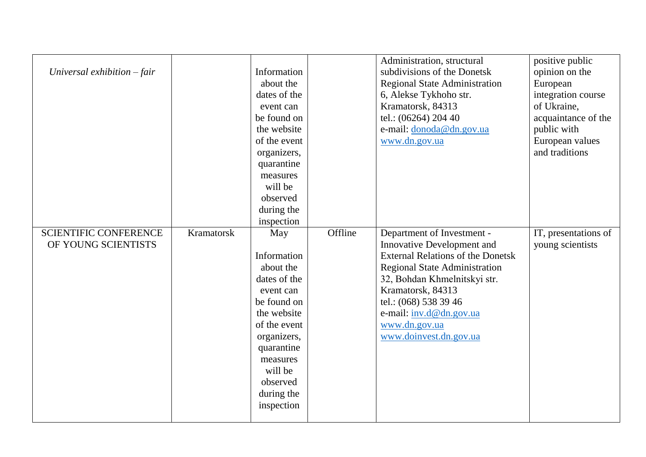| Universal exhibition $-$ fair                       |            | Information<br>about the<br>dates of the<br>event can<br>be found on<br>the website<br>of the event<br>organizers,<br>quarantine<br>measures<br>will be<br>observed<br>during the                                    |         | Administration, structural<br>subdivisions of the Donetsk<br><b>Regional State Administration</b><br>6, Alekse Tykhoho str.<br>Kramatorsk, 84313<br>tel.: (06264) 204 40<br>e-mail: donoda@dn.gov.ua<br>www.dn.gov.ua                                                                                   | positive public<br>opinion on the<br>European<br>integration course<br>of Ukraine,<br>acquaintance of the<br>public with<br>European values<br>and traditions |
|-----------------------------------------------------|------------|----------------------------------------------------------------------------------------------------------------------------------------------------------------------------------------------------------------------|---------|---------------------------------------------------------------------------------------------------------------------------------------------------------------------------------------------------------------------------------------------------------------------------------------------------------|---------------------------------------------------------------------------------------------------------------------------------------------------------------|
| <b>SCIENTIFIC CONFERENCE</b><br>OF YOUNG SCIENTISTS | Kramatorsk | inspection<br>May<br>Information<br>about the<br>dates of the<br>event can<br>be found on<br>the website<br>of the event<br>organizers,<br>quarantine<br>measures<br>will be<br>observed<br>during the<br>inspection | Offline | Department of Investment -<br><b>Innovative Development and</b><br><b>External Relations of the Donetsk</b><br><b>Regional State Administration</b><br>32, Bohdan Khmelnitskyi str.<br>Kramatorsk, 84313<br>tel.: (068) 538 39 46<br>e-mail: inv.d@dn.gov.ua<br>www.dn.gov.ua<br>www.doinvest.dn.gov.ua | IT, presentations of<br>young scientists                                                                                                                      |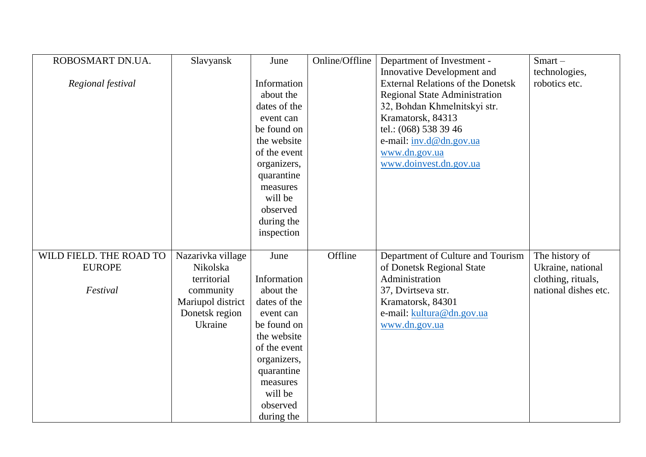| ROBOSMART DN.UA.        | Slavyansk         | June         | Online/Offline | Department of Investment -               | $Smart -$            |
|-------------------------|-------------------|--------------|----------------|------------------------------------------|----------------------|
|                         |                   |              |                | Innovative Development and               | technologies,        |
| Regional festival       |                   | Information  |                | <b>External Relations of the Donetsk</b> | robotics etc.        |
|                         |                   | about the    |                | <b>Regional State Administration</b>     |                      |
|                         |                   | dates of the |                | 32, Bohdan Khmelnitskyi str.             |                      |
|                         |                   | event can    |                | Kramatorsk, 84313                        |                      |
|                         |                   | be found on  |                | tel.: (068) 538 39 46                    |                      |
|                         |                   | the website  |                | e-mail: inv.d@dn.gov.ua                  |                      |
|                         |                   | of the event |                | www.dn.gov.ua                            |                      |
|                         |                   | organizers,  |                | www.doinvest.dn.gov.ua                   |                      |
|                         |                   | quarantine   |                |                                          |                      |
|                         |                   | measures     |                |                                          |                      |
|                         |                   | will be      |                |                                          |                      |
|                         |                   | observed     |                |                                          |                      |
|                         |                   | during the   |                |                                          |                      |
|                         |                   | inspection   |                |                                          |                      |
|                         |                   |              |                |                                          |                      |
| WILD FIELD. THE ROAD TO | Nazarivka village | June         | Offline        | Department of Culture and Tourism        | The history of       |
| <b>EUROPE</b>           | Nikolska          |              |                | of Donetsk Regional State                | Ukraine, national    |
|                         | territorial       | Information  |                | Administration                           | clothing, rituals,   |
| Festival                | community         | about the    |                | 37, Dvirtseva str.                       | national dishes etc. |
|                         | Mariupol district | dates of the |                | Kramatorsk, 84301                        |                      |
|                         | Donetsk region    | event can    |                | e-mail: kultura@dn.gov.ua                |                      |
|                         | Ukraine           | be found on  |                | www.dn.gov.ua                            |                      |
|                         |                   | the website  |                |                                          |                      |
|                         |                   | of the event |                |                                          |                      |
|                         |                   | organizers,  |                |                                          |                      |
|                         |                   | quarantine   |                |                                          |                      |
|                         |                   | measures     |                |                                          |                      |
|                         |                   | will be      |                |                                          |                      |
|                         |                   | observed     |                |                                          |                      |
|                         |                   | during the   |                |                                          |                      |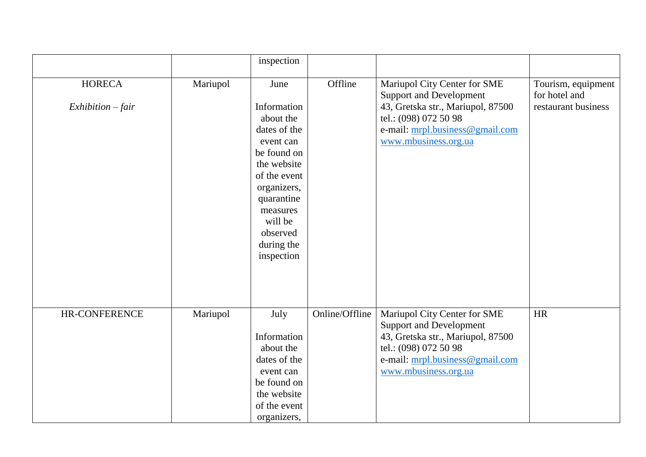|                                    |          | inspection                                                                                                                                                                                              |                |                                                                                                                                                                                         |                                                            |
|------------------------------------|----------|---------------------------------------------------------------------------------------------------------------------------------------------------------------------------------------------------------|----------------|-----------------------------------------------------------------------------------------------------------------------------------------------------------------------------------------|------------------------------------------------------------|
|                                    |          |                                                                                                                                                                                                         |                |                                                                                                                                                                                         |                                                            |
| <b>HORECA</b><br>$Exhibition-fair$ | Mariupol | June<br>Information<br>about the<br>dates of the<br>event can<br>be found on<br>the website<br>of the event<br>organizers,<br>quarantine<br>measures<br>will be<br>observed<br>during the<br>inspection | Offline        | Mariupol City Center for SME<br><b>Support and Development</b><br>43, Gretska str., Mariupol, 87500<br>tel.: (098) 072 50 98<br>e-mail: mrpl.business@gmail.com<br>www.mbusiness.org.ua | Tourism, equipment<br>for hotel and<br>restaurant business |
| HR-CONFERENCE                      | Mariupol | July<br>Information<br>about the<br>dates of the<br>event can<br>be found on<br>the website                                                                                                             | Online/Offline | Mariupol City Center for SME<br><b>Support and Development</b><br>43, Gretska str., Mariupol, 87500<br>tel.: (098) 072 50 98<br>e-mail: mrpl.business@gmail.com<br>www.mbusiness.org.ua | <b>HR</b>                                                  |
|                                    |          | of the event<br>organizers,                                                                                                                                                                             |                |                                                                                                                                                                                         |                                                            |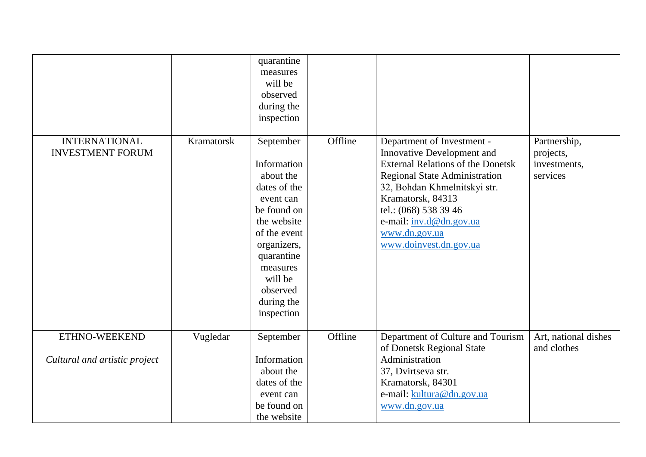|                                                 |            | quarantine<br>measures<br>will be<br>observed<br>during the<br>inspection                                                                                                                                    |         |                                                                                                                                                                                                                                                                                                  |                                                       |
|-------------------------------------------------|------------|--------------------------------------------------------------------------------------------------------------------------------------------------------------------------------------------------------------|---------|--------------------------------------------------------------------------------------------------------------------------------------------------------------------------------------------------------------------------------------------------------------------------------------------------|-------------------------------------------------------|
| <b>INTERNATIONAL</b><br><b>INVESTMENT FORUM</b> | Kramatorsk | September<br>Information<br>about the<br>dates of the<br>event can<br>be found on<br>the website<br>of the event<br>organizers,<br>quarantine<br>measures<br>will be<br>observed<br>during the<br>inspection | Offline | Department of Investment -<br>Innovative Development and<br><b>External Relations of the Donetsk</b><br><b>Regional State Administration</b><br>32, Bohdan Khmelnitskyi str.<br>Kramatorsk, 84313<br>tel.: (068) 538 39 46<br>e-mail: inv.d@dn.gov.ua<br>www.dn.gov.ua<br>www.doinvest.dn.gov.ua | Partnership,<br>projects,<br>investments,<br>services |
| ETHNO-WEEKEND                                   | Vugledar   | September                                                                                                                                                                                                    | Offline | Department of Culture and Tourism<br>of Donetsk Regional State                                                                                                                                                                                                                                   | Art, national dishes<br>and clothes                   |
| Cultural and artistic project                   |            | Information<br>about the<br>dates of the<br>event can<br>be found on<br>the website                                                                                                                          |         | Administration<br>37, Dvirtseva str.<br>Kramatorsk, 84301<br>e-mail: kultura@dn.gov.ua<br>www.dn.gov.ua                                                                                                                                                                                          |                                                       |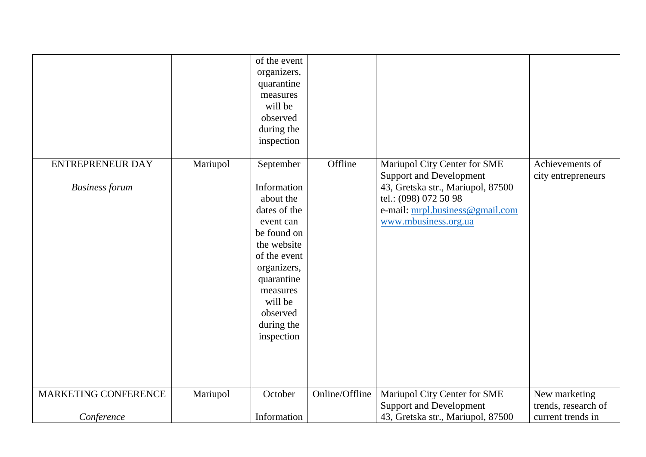|                                                  |          | of the event<br>organizers,<br>quarantine<br>measures<br>will be<br>observed<br>during the<br>inspection                                                                                                     |                |                                                                                                                                                                                         |                                          |
|--------------------------------------------------|----------|--------------------------------------------------------------------------------------------------------------------------------------------------------------------------------------------------------------|----------------|-----------------------------------------------------------------------------------------------------------------------------------------------------------------------------------------|------------------------------------------|
| <b>ENTREPRENEUR DAY</b><br><b>Business forum</b> | Mariupol | September<br>Information<br>about the<br>dates of the<br>event can<br>be found on<br>the website<br>of the event<br>organizers,<br>quarantine<br>measures<br>will be<br>observed<br>during the<br>inspection | Offline        | Mariupol City Center for SME<br><b>Support and Development</b><br>43, Gretska str., Mariupol, 87500<br>tel.: (098) 072 50 98<br>e-mail: mrpl.business@gmail.com<br>www.mbusiness.org.ua | Achievements of<br>city entrepreneurs    |
| MARKETING CONFERENCE                             | Mariupol | October                                                                                                                                                                                                      | Online/Offline | Mariupol City Center for SME                                                                                                                                                            | New marketing                            |
| Conference                                       |          | Information                                                                                                                                                                                                  |                | <b>Support and Development</b><br>43, Gretska str., Mariupol, 87500                                                                                                                     | trends, research of<br>current trends in |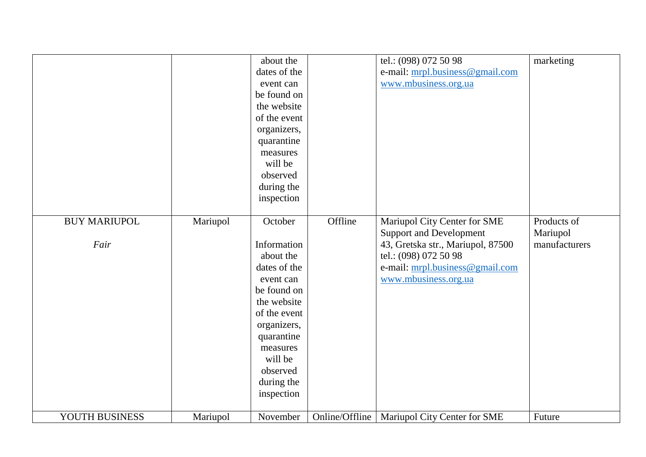|                             |          | about the<br>dates of the<br>event can<br>be found on<br>the website<br>of the event<br>organizers,<br>quarantine<br>measures<br>will be<br>observed                                                       |                | tel.: (098) 072 50 98<br>e-mail: mrpl.business@gmail.com<br>www.mbusiness.org.ua                                                                                                        | marketing                                |
|-----------------------------|----------|------------------------------------------------------------------------------------------------------------------------------------------------------------------------------------------------------------|----------------|-----------------------------------------------------------------------------------------------------------------------------------------------------------------------------------------|------------------------------------------|
|                             |          | during the<br>inspection                                                                                                                                                                                   |                |                                                                                                                                                                                         |                                          |
| <b>BUY MARIUPOL</b><br>Fair | Mariupol | October<br>Information<br>about the<br>dates of the<br>event can<br>be found on<br>the website<br>of the event<br>organizers,<br>quarantine<br>measures<br>will be<br>observed<br>during the<br>inspection | Offline        | Mariupol City Center for SME<br><b>Support and Development</b><br>43, Gretska str., Mariupol, 87500<br>tel.: (098) 072 50 98<br>e-mail: mrpl.business@gmail.com<br>www.mbusiness.org.ua | Products of<br>Mariupol<br>manufacturers |
| YOUTH BUSINESS              | Mariupol | November                                                                                                                                                                                                   | Online/Offline | Mariupol City Center for SME                                                                                                                                                            | Future                                   |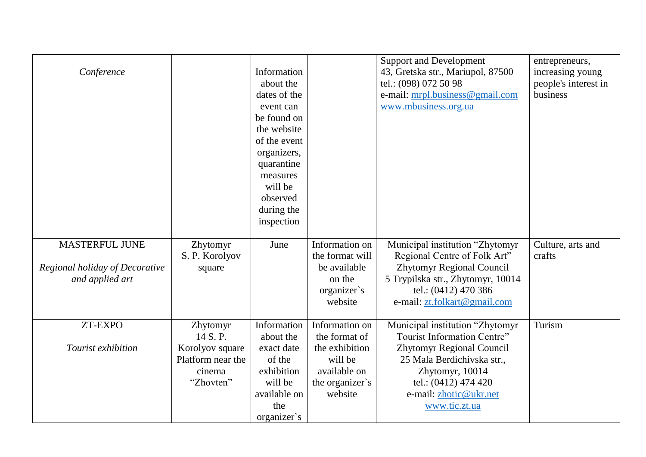| Conference                                        |                             | Information<br>about the<br>dates of the<br>event can<br>be found on<br>the website<br>of the event<br>organizers,<br>quarantine<br>measures<br>will be<br>observed<br>during the<br>inspection |                                   | <b>Support and Development</b><br>43, Gretska str., Mariupol, 87500<br>tel.: (098) 072 50 98<br>e-mail: mrpl.business@gmail.com<br>www.mbusiness.org.ua | entrepreneurs,<br>increasing young<br>people's interest in<br>business |
|---------------------------------------------------|-----------------------------|-------------------------------------------------------------------------------------------------------------------------------------------------------------------------------------------------|-----------------------------------|---------------------------------------------------------------------------------------------------------------------------------------------------------|------------------------------------------------------------------------|
| <b>MASTERFUL JUNE</b>                             | Zhytomyr<br>S. P. Korolyov  | June                                                                                                                                                                                            | Information on<br>the format will | Municipal institution "Zhytomyr<br>Regional Centre of Folk Art"                                                                                         | Culture, arts and<br>crafts                                            |
| Regional holiday of Decorative<br>and applied art | square                      |                                                                                                                                                                                                 | be available<br>on the            | <b>Zhytomyr Regional Council</b><br>5 Trypilska str., Zhytomyr, 10014                                                                                   |                                                                        |
|                                                   |                             |                                                                                                                                                                                                 | organizer's<br>website            | tel.: (0412) 470 386<br>e-mail: zt.folkart@gmail.com                                                                                                    |                                                                        |
|                                                   |                             |                                                                                                                                                                                                 |                                   |                                                                                                                                                         |                                                                        |
| ZT-EXPO                                           | Zhytomyr<br>14 S.P.         | Information<br>about the                                                                                                                                                                        | Information on<br>the format of   | Municipal institution "Zhytomyr<br>Tourist Information Centre"                                                                                          | Turism                                                                 |
| Tourist exhibition                                | Korolyov square             | exact date                                                                                                                                                                                      | the exhibition                    | Zhytomyr Regional Council                                                                                                                               |                                                                        |
|                                                   | Platform near the<br>cinema | of the<br>exhibition                                                                                                                                                                            | will be<br>available on           | 25 Mala Berdichivska str.,<br>Zhytomyr, 10014                                                                                                           |                                                                        |
|                                                   | "Zhovten"                   | will be                                                                                                                                                                                         | the organizer's                   | tel.: (0412) 474 420                                                                                                                                    |                                                                        |
|                                                   |                             | available on                                                                                                                                                                                    | website                           | e-mail: zhotic@ukr.net                                                                                                                                  |                                                                        |
|                                                   |                             | the                                                                                                                                                                                             |                                   | www.tic.zt.ua                                                                                                                                           |                                                                        |
|                                                   |                             | organizer's                                                                                                                                                                                     |                                   |                                                                                                                                                         |                                                                        |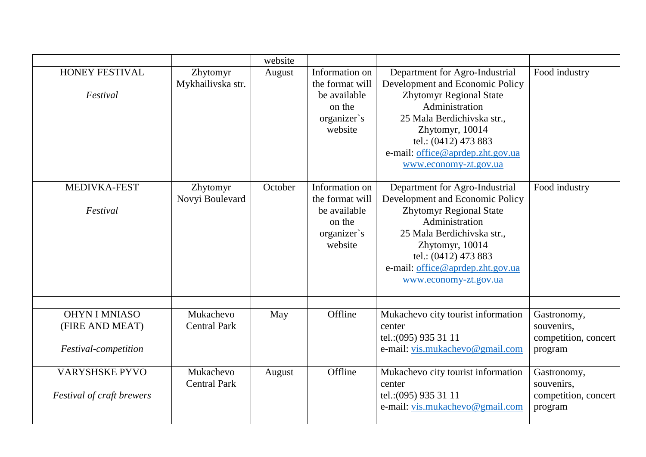|                                                                 |                                  | website |                                                                                       |                                                                                                                                                                                                                                                             |                                                              |
|-----------------------------------------------------------------|----------------------------------|---------|---------------------------------------------------------------------------------------|-------------------------------------------------------------------------------------------------------------------------------------------------------------------------------------------------------------------------------------------------------------|--------------------------------------------------------------|
| <b>HONEY FESTIVAL</b><br>Festival                               | Zhytomyr<br>Mykhailivska str.    | August  | Information on<br>the format will<br>be available<br>on the<br>organizer's<br>website | Department for Agro-Industrial<br>Development and Economic Policy<br><b>Zhytomyr Regional State</b><br>Administration<br>25 Mala Berdichivska str.,<br>Zhytomyr, 10014<br>tel.: (0412) 473 883<br>e-mail: office@aprdep.zht.gov.ua<br>www.economy-zt.gov.ua | Food industry                                                |
| MEDIVKA-FEST<br>Festival                                        | Zhytomyr<br>Novyi Boulevard      | October | Information on<br>the format will<br>be available<br>on the<br>organizer's<br>website | Department for Agro-Industrial<br>Development and Economic Policy<br><b>Zhytomyr Regional State</b><br>Administration<br>25 Mala Berdichivska str.,<br>Zhytomyr, 10014<br>tel.: (0412) 473 883<br>e-mail: office@aprdep.zht.gov.ua<br>www.economy-zt.gov.ua | Food industry                                                |
| <b>OHYN I MNIASO</b><br>(FIRE AND MEAT)<br>Festival-competition | Mukachevo<br><b>Central Park</b> | May     | Offline                                                                               | Mukachevo city tourist information<br>center<br>tel.: (095) 935 31 11<br>e-mail: vis.mukachevo@gmail.com                                                                                                                                                    | Gastronomy,<br>souvenirs,<br>competition, concert<br>program |
| <b>VARYSHSKE PYVO</b><br><b>Festival of craft brewers</b>       | Mukachevo<br><b>Central Park</b> | August  | Offline                                                                               | Mukachevo city tourist information<br>center<br>tel.: (095) 935 31 11<br>e-mail: vis.mukachevo@gmail.com                                                                                                                                                    | Gastronomy,<br>souvenirs,<br>competition, concert<br>program |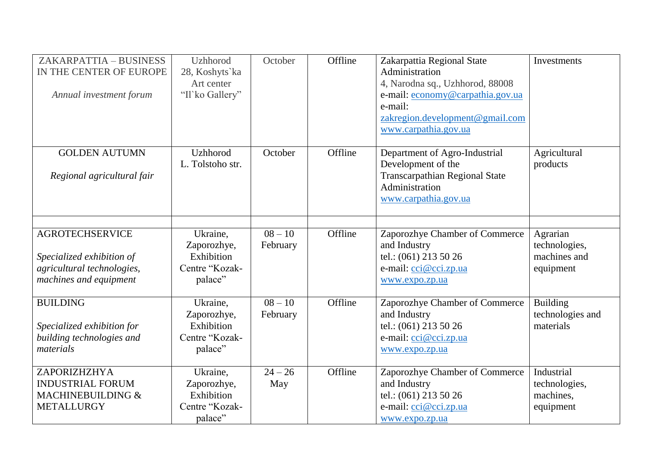| ZAKARPATTIA - BUSINESS<br>IN THE CENTER OF EUROPE<br>Annual investment forum                                | <b>Uzhhorod</b><br>28, Koshyts'ka<br>Art center<br>"Il'ko Gallery" | October               | Offline | Zakarpattia Regional State<br>Administration<br>4, Narodna sq., Uzhhorod, 88008<br>e-mail: economy@carpathia.gov.ua<br>e-mail:<br>zakregion.development@gmail.com<br>www.carpathia.gov.ua | Investments                                            |
|-------------------------------------------------------------------------------------------------------------|--------------------------------------------------------------------|-----------------------|---------|-------------------------------------------------------------------------------------------------------------------------------------------------------------------------------------------|--------------------------------------------------------|
| <b>GOLDEN AUTUMN</b><br>Regional agricultural fair                                                          | Uzhhorod<br>L. Tolstoho str.                                       | October               | Offline | Department of Agro-Industrial<br>Development of the<br><b>Transcarpathian Regional State</b><br>Administration<br>www.carpathia.gov.ua                                                    | Agricultural<br>products                               |
| <b>AGROTECHSERVICE</b><br>Specialized exhibition of<br>agricultural technologies,<br>machines and equipment | Ukraine,<br>Zaporozhye,<br>Exhibition<br>Centre "Kozak-<br>palace" | $08 - 10$<br>February | Offline | Zaporozhye Chamber of Commerce<br>and Industry<br>tel.: (061) 213 50 26<br>e-mail: cci@cci.zp.ua<br>www.expo.zp.ua                                                                        | Agrarian<br>technologies,<br>machines and<br>equipment |
| <b>BUILDING</b><br>Specialized exhibition for<br>building technologies and<br>materials                     | Ukraine,<br>Zaporozhye,<br>Exhibition<br>Centre "Kozak-<br>palace" | $08 - 10$<br>February | Offline | Zaporozhye Chamber of Commerce<br>and Industry<br>tel.: (061) 213 50 26<br>e-mail: cci@cci.zp.ua<br>www.expo.zp.ua                                                                        | <b>Building</b><br>technologies and<br>materials       |
| ZAPORIZHZHYA<br><b>INDUSTRIAL FORUM</b><br>MACHINEBUILDING &<br>METALLURGY                                  | Ukraine,<br>Zaporozhye,<br>Exhibition<br>Centre "Kozak-<br>palace" | $24 - 26$<br>May      | Offline | Zaporozhye Chamber of Commerce<br>and Industry<br>tel.: (061) 213 50 26<br>e-mail: cci@cci.zp.ua<br>www.expo.zp.ua                                                                        | Industrial<br>technologies,<br>machines,<br>equipment  |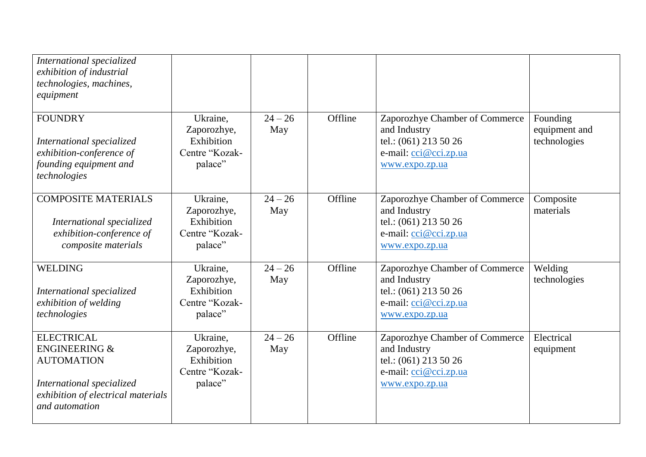| International specialized<br>exhibition of industrial<br>technologies, machines,<br>equipment                                                           |                                                                    |                  |         |                                                                                                                    |                                           |
|---------------------------------------------------------------------------------------------------------------------------------------------------------|--------------------------------------------------------------------|------------------|---------|--------------------------------------------------------------------------------------------------------------------|-------------------------------------------|
| <b>FOUNDRY</b><br>International specialized<br>exhibition-conference of<br>founding equipment and<br>technologies                                       | Ukraine,<br>Zaporozhye,<br>Exhibition<br>Centre "Kozak-<br>palace" | $24 - 26$<br>May | Offline | Zaporozhye Chamber of Commerce<br>and Industry<br>tel.: (061) 213 50 26<br>e-mail: cci@cci.zp.ua<br>www.expo.zp.ua | Founding<br>equipment and<br>technologies |
| <b>COMPOSITE MATERIALS</b><br>International specialized<br>exhibition-conference of<br>composite materials                                              | Ukraine,<br>Zaporozhye,<br>Exhibition<br>Centre "Kozak-<br>palace" | $24 - 26$<br>May | Offline | Zaporozhye Chamber of Commerce<br>and Industry<br>tel.: (061) 213 50 26<br>e-mail: cci@cci.zp.ua<br>www.expo.zp.ua | Composite<br>materials                    |
| <b>WELDING</b><br>International specialized<br>exhibition of welding<br>technologies                                                                    | Ukraine,<br>Zaporozhye,<br>Exhibition<br>Centre "Kozak-<br>palace" | $24 - 26$<br>May | Offline | Zaporozhye Chamber of Commerce<br>and Industry<br>tel.: (061) 213 50 26<br>e-mail: cci@cci.zp.ua<br>www.expo.zp.ua | Welding<br>technologies                   |
| <b>ELECTRICAL</b><br><b>ENGINEERING &amp;</b><br><b>AUTOMATION</b><br>International specialized<br>exhibition of electrical materials<br>and automation | Ukraine,<br>Zaporozhye,<br>Exhibition<br>Centre "Kozak-<br>palace" | $24 - 26$<br>May | Offline | Zaporozhye Chamber of Commerce<br>and Industry<br>tel.: (061) 213 50 26<br>e-mail: cci@cci.zp.ua<br>www.expo.zp.ua | Electrical<br>equipment                   |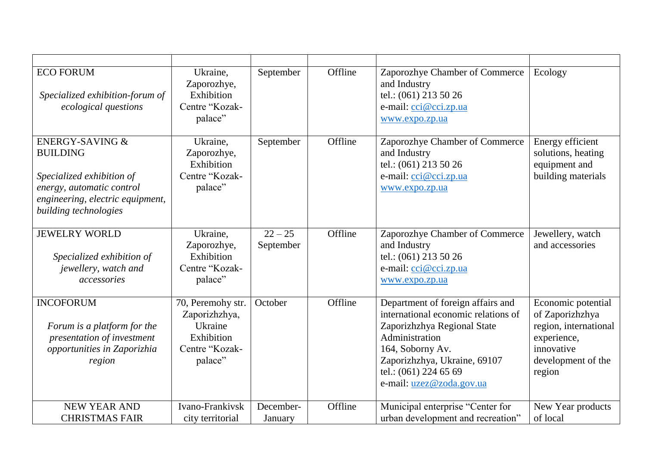| <b>ECO FORUM</b><br>Specialized exhibition-forum of<br>ecological questions                                                                                          | Ukraine,<br>Zaporozhye,<br>Exhibition<br>Centre "Kozak-<br>palace"                       | September              | Offline | Zaporozhye Chamber of Commerce<br>and Industry<br>tel.: (061) 213 50 26<br>e-mail: cci@cci.zp.ua<br>www.expo.zp.ua                                                                                                                 | Ecology                                                                                                                     |
|----------------------------------------------------------------------------------------------------------------------------------------------------------------------|------------------------------------------------------------------------------------------|------------------------|---------|------------------------------------------------------------------------------------------------------------------------------------------------------------------------------------------------------------------------------------|-----------------------------------------------------------------------------------------------------------------------------|
| <b>ENERGY-SAVING &amp;</b><br><b>BUILDING</b><br>Specialized exhibition of<br>energy, automatic control<br>engineering, electric equipment,<br>building technologies | Ukraine,<br>Zaporozhye,<br>Exhibition<br>Centre "Kozak-<br>palace"                       | September              | Offline | Zaporozhye Chamber of Commerce<br>and Industry<br>tel.: (061) 213 50 26<br>e-mail: cci@cci.zp.ua<br>www.expo.zp.ua                                                                                                                 | Energy efficient<br>solutions, heating<br>equipment and<br>building materials                                               |
| <b>JEWELRY WORLD</b><br>Specialized exhibition of<br>jewellery, watch and<br>accessories                                                                             | Ukraine,<br>Zaporozhye,<br>Exhibition<br>Centre "Kozak-<br>palace"                       | $22 - 25$<br>September | Offline | Zaporozhye Chamber of Commerce<br>and Industry<br>tel.: (061) 213 50 26<br>e-mail: cci@cci.zp.ua<br>www.expo.zp.ua                                                                                                                 | Jewellery, watch<br>and accessories                                                                                         |
| <b>INCOFORUM</b><br>Forum is a platform for the<br>presentation of investment<br>opportunities in Zaporizhia<br>region                                               | 70, Peremohy str.<br>Zaporizhzhya,<br>Ukraine<br>Exhibition<br>Centre "Kozak-<br>palace" | October                | Offline | Department of foreign affairs and<br>international economic relations of<br>Zaporizhzhya Regional State<br>Administration<br>164, Soborny Av.<br>Zaporizhzhya, Ukraine, 69107<br>tel.: (061) 224 65 69<br>e-mail: uzez@zoda.gov.ua | Economic potential<br>of Zaporizhzhya<br>region, international<br>experience,<br>innovative<br>development of the<br>region |
| <b>NEW YEAR AND</b><br><b>CHRISTMAS FAIR</b>                                                                                                                         | Ivano-Frankivsk<br>city territorial                                                      | December-<br>January   | Offline | Municipal enterprise "Center for<br>urban development and recreation"                                                                                                                                                              | New Year products<br>of local                                                                                               |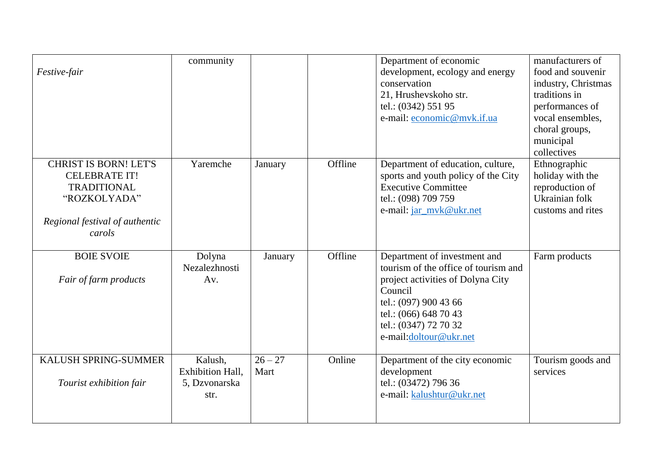| Festive-fair                                                                                                                           | community                                                   |                   |         | Department of economic<br>development, ecology and energy<br>conservation<br>21, Hrushevskoho str.<br>tel.: (0342) 551 95<br>e-mail: economic@mvk.if.ua                                                                   | manufacturers of<br>food and souvenir<br>industry, Christmas<br>traditions in<br>performances of<br>vocal ensembles,<br>choral groups,<br>municipal<br>collectives |
|----------------------------------------------------------------------------------------------------------------------------------------|-------------------------------------------------------------|-------------------|---------|---------------------------------------------------------------------------------------------------------------------------------------------------------------------------------------------------------------------------|--------------------------------------------------------------------------------------------------------------------------------------------------------------------|
| <b>CHRIST IS BORN! LET'S</b><br><b>CELEBRATE IT!</b><br><b>TRADITIONAL</b><br>"ROZKOLYADA"<br>Regional festival of authentic<br>carols | Yaremche                                                    | January           | Offline | Department of education, culture,<br>sports and youth policy of the City<br><b>Executive Committee</b><br>tel.: (098) 709 759<br>e-mail: jar_mvk@ukr.net                                                                  | Ethnographic<br>holiday with the<br>reproduction of<br>Ukrainian folk<br>customs and rites                                                                         |
| <b>BOIE SVOIE</b><br>Fair of farm products                                                                                             | Dolyna<br>Nezalezhnosti<br>Av.                              | January           | Offline | Department of investment and<br>tourism of the office of tourism and<br>project activities of Dolyna City<br>Council<br>tel.: (097) 900 43 66<br>tel.: (066) 648 70 43<br>tel.: (0347) 72 70 32<br>e-mail:doltour@ukr.net | Farm products                                                                                                                                                      |
| KALUSH SPRING-SUMMER<br>Tourist exhibition fair                                                                                        | Kalush,<br><b>Exhibition Hall,</b><br>5, Dzvonarska<br>str. | $26 - 27$<br>Mart | Online  | Department of the city economic<br>development<br>tel.: (03472) 796 36<br>e-mail: kalushtur@ukr.net                                                                                                                       | Tourism goods and<br>services                                                                                                                                      |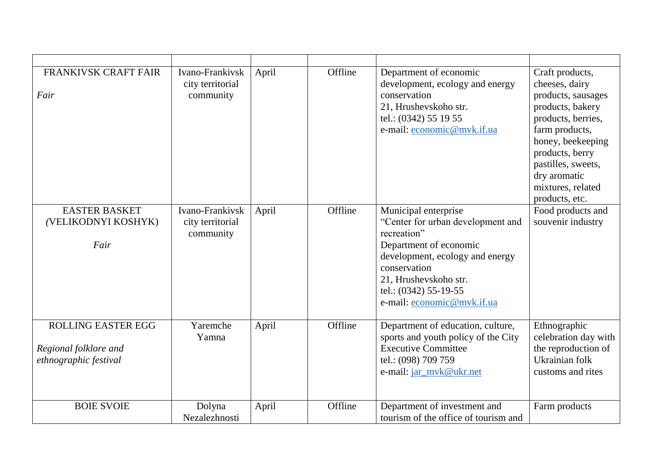| <b>FRANKIVSK CRAFT FAIR</b><br>Fair                                         | Ivano-Frankivsk<br>city territorial<br>community | April | Offline | Department of economic<br>development, ecology and energy<br>conservation<br>21, Hrushevskoho str.<br>tel.: (0342) 55 19 55<br>e-mail: economic@mvk.if.ua                                                                             | Craft products,<br>cheeses, dairy<br>products, sausages<br>products, bakery<br>products, berries,<br>farm products,<br>honey, beekeeping<br>products, berry<br>pastilles, sweets,<br>dry aromatic<br>mixtures, related<br>products, etc. |
|-----------------------------------------------------------------------------|--------------------------------------------------|-------|---------|---------------------------------------------------------------------------------------------------------------------------------------------------------------------------------------------------------------------------------------|------------------------------------------------------------------------------------------------------------------------------------------------------------------------------------------------------------------------------------------|
| <b>EASTER BASKET</b><br>(VELIKODNYI KOSHYK)<br>Fair                         | Ivano-Frankivsk<br>city territorial<br>community | April | Offline | Municipal enterprise<br>"Center for urban development and<br>recreation"<br>Department of economic<br>development, ecology and energy<br>conservation<br>21, Hrushevskoho str.<br>tel.: (0342) 55-19-55<br>e-mail: economic@mvk.if.ua | Food products and<br>souvenir industry                                                                                                                                                                                                   |
| <b>ROLLING EASTER EGG</b><br>Regional folklore and<br>ethnographic festival | Yaremche<br>Yamna                                | April | Offline | Department of education, culture,<br>sports and youth policy of the City<br><b>Executive Committee</b><br>tel.: (098) 709 759<br>e-mail: jar_mvk@ukr.net                                                                              | Ethnographic<br>celebration day with<br>the reproduction of<br>Ukrainian folk<br>customs and rites                                                                                                                                       |
| <b>BOIE SVOIE</b>                                                           | Dolyna<br>Nezalezhnosti                          | April | Offline | Department of investment and<br>tourism of the office of tourism and                                                                                                                                                                  | Farm products                                                                                                                                                                                                                            |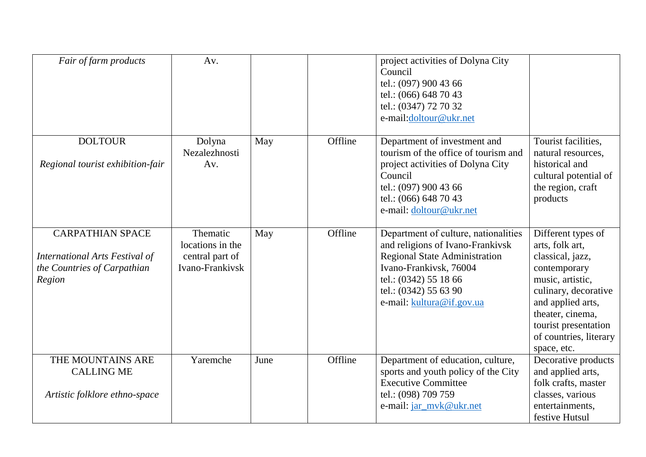| Fair of farm products                                                                                     | Av.                                                                |      |         | project activities of Dolyna City<br>Council<br>tel.: (097) 900 43 66<br>tel.: (066) 648 70 43<br>tel.: (0347) 72 70 32<br>e-mail:doltour@ukr.net                                                                         |                                                                                                                                                                                                                                 |
|-----------------------------------------------------------------------------------------------------------|--------------------------------------------------------------------|------|---------|---------------------------------------------------------------------------------------------------------------------------------------------------------------------------------------------------------------------------|---------------------------------------------------------------------------------------------------------------------------------------------------------------------------------------------------------------------------------|
| <b>DOLTOUR</b><br>Regional tourist exhibition-fair                                                        | Dolyna<br>Nezalezhnosti<br>Av.                                     | May  | Offline | Department of investment and<br>tourism of the office of tourism and<br>project activities of Dolyna City<br>Council<br>tel.: (097) 900 43 66<br>tel.: (066) 648 70 43<br>e-mail: doltour@ukr.net                         | Tourist facilities,<br>natural resources,<br>historical and<br>cultural potential of<br>the region, craft<br>products                                                                                                           |
| <b>CARPATHIAN SPACE</b><br><b>International Arts Festival of</b><br>the Countries of Carpathian<br>Region | Thematic<br>locations in the<br>central part of<br>Ivano-Frankivsk | May  | Offline | Department of culture, nationalities<br>and religions of Ivano-Frankivsk<br><b>Regional State Administration</b><br>Ivano-Frankivsk, 76004<br>tel.: (0342) 55 18 66<br>tel.: (0342) 55 63 90<br>e-mail: kultura@if.gov.ua | Different types of<br>arts, folk art,<br>classical, jazz,<br>contemporary<br>music, artistic,<br>culinary, decorative<br>and applied arts,<br>theater, cinema,<br>tourist presentation<br>of countries, literary<br>space, etc. |
| THE MOUNTAINS ARE<br><b>CALLING ME</b><br>Artistic folklore ethno-space                                   | Yaremche                                                           | June | Offline | Department of education, culture,<br>sports and youth policy of the City<br><b>Executive Committee</b><br>tel.: (098) 709 759<br>e-mail: jar_mvk@ukr.net                                                                  | Decorative products<br>and applied arts,<br>folk crafts, master<br>classes, various<br>entertainments,<br>festive Hutsul                                                                                                        |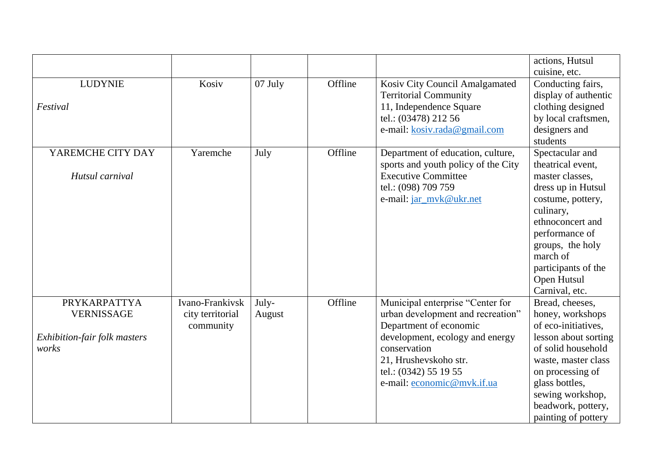|                              |                  |         |         |                                     | actions, Hutsul      |
|------------------------------|------------------|---------|---------|-------------------------------------|----------------------|
|                              |                  |         |         |                                     | cuisine, etc.        |
| <b>LUDYNIE</b>               | Kosiv            | 07 July | Offline | Kosiv City Council Amalgamated      | Conducting fairs,    |
|                              |                  |         |         | <b>Territorial Community</b>        | display of authentic |
| Festival                     |                  |         |         | 11, Independence Square             | clothing designed    |
|                              |                  |         |         | tel.: (03478) 212 56                | by local craftsmen,  |
|                              |                  |         |         | e-mail: kosiv.rada@gmail.com        | designers and        |
|                              |                  |         |         |                                     | students             |
| YAREMCHE CITY DAY            | Yaremche         | July    | Offline | Department of education, culture,   | Spectacular and      |
|                              |                  |         |         | sports and youth policy of the City | theatrical event.    |
| Hutsul carnival              |                  |         |         | <b>Executive Committee</b>          | master classes,      |
|                              |                  |         |         | tel.: (098) 709 759                 | dress up in Hutsul   |
|                              |                  |         |         | e-mail: jar_mvk@ukr.net             | costume, pottery,    |
|                              |                  |         |         |                                     | culinary,            |
|                              |                  |         |         |                                     | ethnoconcert and     |
|                              |                  |         |         |                                     | performance of       |
|                              |                  |         |         |                                     | groups, the holy     |
|                              |                  |         |         |                                     | march of             |
|                              |                  |         |         |                                     | participants of the  |
|                              |                  |         |         |                                     | Open Hutsul          |
|                              |                  |         |         |                                     | Carnival, etc.       |
| PRYKARPATTYA                 | Ivano-Frankivsk  | July-   | Offline | Municipal enterprise "Center for    | Bread, cheeses,      |
| <b>VERNISSAGE</b>            | city territorial | August  |         | urban development and recreation"   | honey, workshops     |
|                              | community        |         |         | Department of economic              | of eco-initiatives,  |
| Exhibition-fair folk masters |                  |         |         | development, ecology and energy     | lesson about sorting |
| works                        |                  |         |         | conservation                        | of solid household   |
|                              |                  |         |         | 21, Hrushevskoho str.               | waste, master class  |
|                              |                  |         |         | tel.: (0342) 55 19 55               | on processing of     |
|                              |                  |         |         | e-mail: economic@mvk.if.ua          | glass bottles,       |
|                              |                  |         |         |                                     | sewing workshop,     |
|                              |                  |         |         |                                     | beadwork, pottery,   |
|                              |                  |         |         |                                     | painting of pottery  |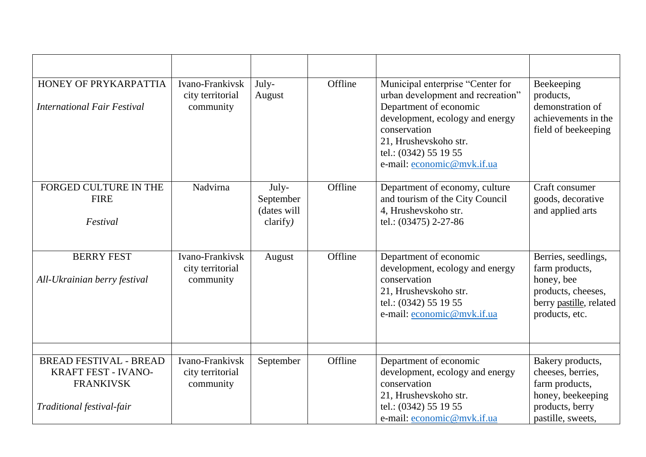| HONEY OF PRYKARPATTIA<br><b>International Fair Festival</b>                                                  | Ivano-Frankivsk<br>city territorial<br>community | July-<br>August                               | Offline | Municipal enterprise "Center for<br>urban development and recreation"<br>Department of economic<br>development, ecology and energy<br>conservation<br>21, Hrushevskoho str.<br>tel.: (0342) 55 19 55<br>e-mail: economic@mvk.if.ua | Beekeeping<br>products,<br>demonstration of<br>achievements in the<br>field of beekeeping                              |
|--------------------------------------------------------------------------------------------------------------|--------------------------------------------------|-----------------------------------------------|---------|------------------------------------------------------------------------------------------------------------------------------------------------------------------------------------------------------------------------------------|------------------------------------------------------------------------------------------------------------------------|
| FORGED CULTURE IN THE<br><b>FIRE</b><br>Festival                                                             | Nadvirna                                         | July-<br>September<br>(dates will<br>clarify) | Offline | Department of economy, culture<br>and tourism of the City Council<br>4, Hrushevskoho str.<br>tel.: (03475) 2-27-86                                                                                                                 | Craft consumer<br>goods, decorative<br>and applied arts                                                                |
| <b>BERRY FEST</b><br>All-Ukrainian berry festival                                                            | Ivano-Frankivsk<br>city territorial<br>community | August                                        | Offline | Department of economic<br>development, ecology and energy<br>conservation<br>21, Hrushevskoho str.<br>tel.: (0342) 55 19 55<br>e-mail: economic@mvk.if.ua                                                                          | Berries, seedlings,<br>farm products,<br>honey, bee<br>products, cheeses,<br>berry pastille, related<br>products, etc. |
| <b>BREAD FESTIVAL - BREAD</b><br><b>KRAFT FEST - IVANO-</b><br><b>FRANKIVSK</b><br>Traditional festival-fair | Ivano-Frankivsk<br>city territorial<br>community | September                                     | Offline | Department of economic<br>development, ecology and energy<br>conservation<br>21, Hrushevskoho str.<br>tel.: (0342) 55 19 55<br>e-mail: economic@mvk.if.ua                                                                          | Bakery products,<br>cheeses, berries,<br>farm products,<br>honey, beekeeping<br>products, berry<br>pastille, sweets,   |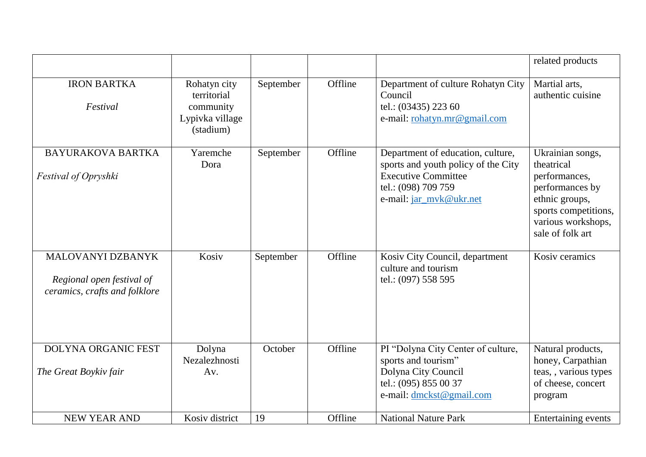|                                                                                 |                                                                          |           |         |                                                                                                                                                          | related products                                                                                                                                       |
|---------------------------------------------------------------------------------|--------------------------------------------------------------------------|-----------|---------|----------------------------------------------------------------------------------------------------------------------------------------------------------|--------------------------------------------------------------------------------------------------------------------------------------------------------|
| <b>IRON BARTKA</b><br>Festival                                                  | Rohatyn city<br>territorial<br>community<br>Lypivka village<br>(stadium) | September | Offline | Department of culture Rohatyn City<br>Council<br>tel.: (03435) 223 60<br>e-mail: rohatyn.mr@gmail.com                                                    | Martial arts,<br>authentic cuisine                                                                                                                     |
| <b>BAYURAKOVA BARTKA</b><br>Festival of Opryshki                                | Yaremche<br>Dora                                                         | September | Offline | Department of education, culture,<br>sports and youth policy of the City<br><b>Executive Committee</b><br>tel.: (098) 709 759<br>e-mail: jar_mvk@ukr.net | Ukrainian songs,<br>theatrical<br>performances,<br>performances by<br>ethnic groups,<br>sports competitions,<br>various workshops,<br>sale of folk art |
| MALOVANYI DZBANYK<br>Regional open festival of<br>ceramics, crafts and folklore | Kosiv                                                                    | September | Offline | Kosiv City Council, department<br>culture and tourism<br>tel.: (097) 558 595                                                                             | Kosiv ceramics                                                                                                                                         |
| <b>DOLYNA ORGANIC FEST</b><br>The Great Boykiv fair                             | Dolyna<br>Nezalezhnosti<br>Av.                                           | October   | Offline | PI "Dolyna City Center of culture,<br>sports and tourism"<br>Dolyna City Council<br>tel.: (095) 855 00 37<br>e-mail: dmckst@gmail.com                    | Natural products,<br>honey, Carpathian<br>teas, , various types<br>of cheese, concert<br>program                                                       |
| <b>NEW YEAR AND</b>                                                             | Kosiv district                                                           | 19        | Offline | <b>National Nature Park</b>                                                                                                                              | Entertaining events                                                                                                                                    |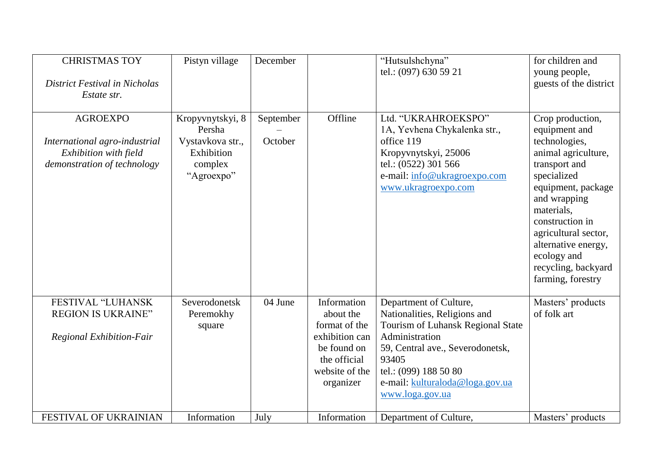| <b>CHRISTMAS TOY</b><br>District Festival in Nicholas<br>Estate str.                                     | Pistyn village                                                                        | December             |                                                                                                                           | "Hutsulshchyna"<br>tel.: (097) 630 59 21                                                                                                                                                                                                  | for children and<br>young people,<br>guests of the district                                                                                                                                                                                                                                |
|----------------------------------------------------------------------------------------------------------|---------------------------------------------------------------------------------------|----------------------|---------------------------------------------------------------------------------------------------------------------------|-------------------------------------------------------------------------------------------------------------------------------------------------------------------------------------------------------------------------------------------|--------------------------------------------------------------------------------------------------------------------------------------------------------------------------------------------------------------------------------------------------------------------------------------------|
| <b>AGROEXPO</b><br>International agro-industrial<br>Exhibition with field<br>demonstration of technology | Kropyvnytskyi, 8<br>Persha<br>Vystavkova str.,<br>Exhibition<br>complex<br>"Agroexpo" | September<br>October | Offline                                                                                                                   | Ltd. "UKRAHROEKSPO"<br>1A, Yevhena Chykalenka str.,<br>office 119<br>Kropyvnytskyi, 25006<br>tel.: (0522) 301 566<br>e-mail: info@ukragroexpo.com<br>www.ukragroexpo.com                                                                  | Crop production,<br>equipment and<br>technologies,<br>animal agriculture,<br>transport and<br>specialized<br>equipment, package<br>and wrapping<br>materials,<br>construction in<br>agricultural sector,<br>alternative energy,<br>ecology and<br>recycling, backyard<br>farming, forestry |
| FESTIVAL "LUHANSK<br><b>REGION IS UKRAINE"</b><br><b>Regional Exhibition-Fair</b>                        | Severodonetsk<br>Peremokhy<br>square                                                  | 04 June              | Information<br>about the<br>format of the<br>exhibition can<br>be found on<br>the official<br>website of the<br>organizer | Department of Culture,<br>Nationalities, Religions and<br>Tourism of Luhansk Regional State<br>Administration<br>59, Central ave., Severodonetsk,<br>93405<br>tel.: (099) 188 50 80<br>e-mail: kulturaloda@loga.gov.ua<br>www.loga.gov.ua | Masters' products<br>of folk art                                                                                                                                                                                                                                                           |
| FESTIVAL OF UKRAINIAN                                                                                    | Information                                                                           | July                 | Information                                                                                                               | Department of Culture,                                                                                                                                                                                                                    | Masters' products                                                                                                                                                                                                                                                                          |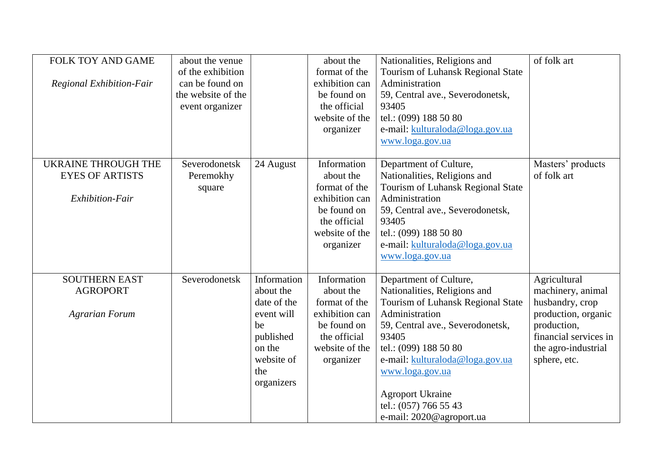| <b>FOLK TOY AND GAME</b><br>Regional Exhibition-Fair                    | about the venue<br>of the exhibition<br>can be found on<br>the website of the<br>event organizer |                                                                                                                       | about the<br>format of the<br>exhibition can<br>be found on<br>the official<br>website of the<br>organizer                | Nationalities, Religions and<br>Tourism of Luhansk Regional State<br>Administration<br>59, Central ave., Severodonetsk,<br>93405<br>tel.: (099) 188 50 80<br>e-mail: kulturaloda@loga.gov.ua<br>www.loga.gov.ua                                                                                                           | of folk art                                                                                                                                                |
|-------------------------------------------------------------------------|--------------------------------------------------------------------------------------------------|-----------------------------------------------------------------------------------------------------------------------|---------------------------------------------------------------------------------------------------------------------------|---------------------------------------------------------------------------------------------------------------------------------------------------------------------------------------------------------------------------------------------------------------------------------------------------------------------------|------------------------------------------------------------------------------------------------------------------------------------------------------------|
| <b>UKRAINE THROUGH THE</b><br><b>EYES OF ARTISTS</b><br>Exhibition-Fair | Severodonetsk<br>Peremokhy<br>square                                                             | 24 August                                                                                                             | Information<br>about the<br>format of the<br>exhibition can<br>be found on<br>the official<br>website of the<br>organizer | Department of Culture,<br>Nationalities, Religions and<br>Tourism of Luhansk Regional State<br>Administration<br>59, Central ave., Severodonetsk,<br>93405<br>tel.: (099) 188 50 80<br>e-mail: kulturaloda@loga.gov.ua<br>www.loga.gov.ua                                                                                 | Masters' products<br>of folk art                                                                                                                           |
| <b>SOUTHERN EAST</b><br><b>AGROPORT</b><br><b>Agrarian Forum</b>        | Severodonetsk                                                                                    | Information<br>about the<br>date of the<br>event will<br>be<br>published<br>on the<br>website of<br>the<br>organizers | Information<br>about the<br>format of the<br>exhibition can<br>be found on<br>the official<br>website of the<br>organizer | Department of Culture,<br>Nationalities, Religions and<br>Tourism of Luhansk Regional State<br>Administration<br>59, Central ave., Severodonetsk,<br>93405<br>tel.: (099) 188 50 80<br>e-mail: kulturaloda@loga.gov.ua<br>www.loga.gov.ua<br><b>Agroport Ukraine</b><br>tel.: (057) 766 55 43<br>e-mail: 2020@agroport.ua | Agricultural<br>machinery, animal<br>husbandry, crop<br>production, organic<br>production,<br>financial services in<br>the agro-industrial<br>sphere, etc. |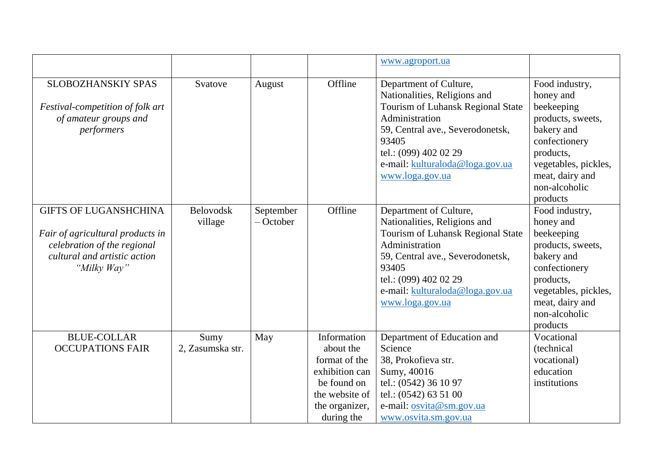|                                                                                                                                                |                             |                          |                                                                                                                              | www.agroport.ua                                                                                                                                                                                                                           |                                                                                                                                                                                    |
|------------------------------------------------------------------------------------------------------------------------------------------------|-----------------------------|--------------------------|------------------------------------------------------------------------------------------------------------------------------|-------------------------------------------------------------------------------------------------------------------------------------------------------------------------------------------------------------------------------------------|------------------------------------------------------------------------------------------------------------------------------------------------------------------------------------|
| <b>SLOBOZHANSKIY SPAS</b><br>Festival-competition of folk art<br>of amateur groups and<br>performers                                           | Svatove                     | August                   | Offline                                                                                                                      | Department of Culture,<br>Nationalities, Religions and<br>Tourism of Luhansk Regional State<br>Administration<br>59, Central ave., Severodonetsk,<br>93405<br>tel.: (099) 402 02 29<br>e-mail: kulturaloda@loga.gov.ua<br>www.loga.gov.ua | Food industry,<br>honey and<br>beekeeping<br>products, sweets,<br>bakery and<br>confectionery<br>products,<br>vegetables, pickles,<br>meat, dairy and<br>non-alcoholic<br>products |
| <b>GIFTS OF LUGANSHCHINA</b><br>Fair of agricultural products in<br>celebration of the regional<br>cultural and artistic action<br>"Milky Way" | <b>Belovodsk</b><br>village | September<br>$-$ October | Offline                                                                                                                      | Department of Culture,<br>Nationalities, Religions and<br>Tourism of Luhansk Regional State<br>Administration<br>59, Central ave., Severodonetsk,<br>93405<br>tel.: (099) 402 02 29<br>e-mail: kulturaloda@loga.gov.ua<br>www.loga.gov.ua | Food industry,<br>honey and<br>beekeeping<br>products, sweets,<br>bakery and<br>confectionery<br>products,<br>vegetables, pickles,<br>meat, dairy and<br>non-alcoholic<br>products |
| <b>BLUE-COLLAR</b><br><b>OCCUPATIONS FAIR</b>                                                                                                  | Sumy<br>2, Zasumska str.    | May                      | Information<br>about the<br>format of the<br>exhibition can<br>be found on<br>the website of<br>the organizer,<br>during the | Department of Education and<br>Science<br>38, Prokofieva str.<br>Sumy, 40016<br>tel.: (0542) 36 10 97<br>tel.: $(0542)$ 63 51 00<br>e-mail: osvita@sm.gov.ua<br>www.osvita.sm.gov.ua                                                      | Vocational<br>(technical<br>vocational)<br>education<br>institutions                                                                                                               |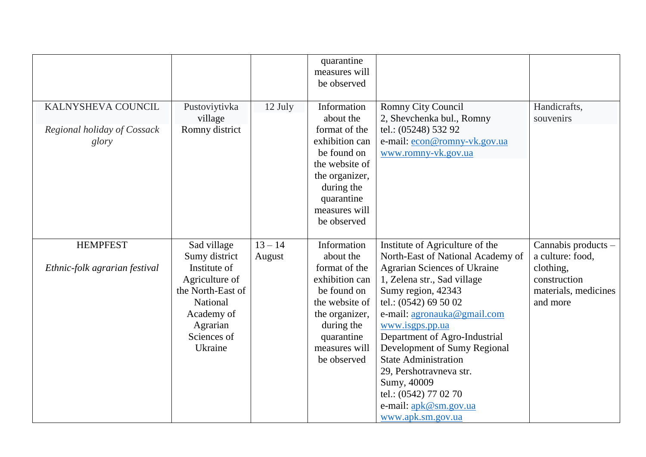|                               |                               |           | quarantine<br>measures will<br>be observed |                                                                      |                      |
|-------------------------------|-------------------------------|-----------|--------------------------------------------|----------------------------------------------------------------------|----------------------|
| KALNYSHEVA COUNCIL            | Pustoviytivka                 | 12 July   | Information                                | Romny City Council                                                   | Handicrafts,         |
|                               | village                       |           | about the                                  | 2, Shevchenka bul., Romny                                            | souvenirs            |
| Regional holiday of Cossack   | Romny district                |           | format of the                              | tel.: (05248) 532 92                                                 |                      |
| glory                         |                               |           | exhibition can                             | e-mail: econ@romny-vk.gov.ua                                         |                      |
|                               |                               |           | be found on                                | www.romny-vk.gov.ua                                                  |                      |
|                               |                               |           | the website of                             |                                                                      |                      |
|                               |                               |           | the organizer,                             |                                                                      |                      |
|                               |                               |           | during the                                 |                                                                      |                      |
|                               |                               |           | quarantine                                 |                                                                      |                      |
|                               |                               |           | measures will                              |                                                                      |                      |
|                               |                               |           | be observed                                |                                                                      |                      |
| <b>HEMPFEST</b>               |                               | $13 - 14$ | Information                                |                                                                      | Cannabis products –  |
|                               | Sad village                   |           | about the                                  | Institute of Agriculture of the<br>North-East of National Academy of | a culture: food,     |
| Ethnic-folk agrarian festival | Sumy district<br>Institute of | August    | format of the                              | <b>Agrarian Sciences of Ukraine</b>                                  | clothing,            |
|                               | Agriculture of                |           | exhibition can                             | 1, Zelena str., Sad village                                          | construction         |
|                               | the North-East of             |           | be found on                                | Sumy region, 42343                                                   | materials, medicines |
|                               | National                      |           | the website of                             | tel.: (0542) 69 50 02                                                | and more             |
|                               | Academy of                    |           | the organizer,                             | e-mail: agronauka@gmail.com                                          |                      |
|                               | Agrarian                      |           | during the                                 | www.isgps.pp.ua                                                      |                      |
|                               | Sciences of                   |           | quarantine                                 | Department of Agro-Industrial                                        |                      |
|                               | Ukraine                       |           | measures will                              | Development of Sumy Regional                                         |                      |
|                               |                               |           | be observed                                | <b>State Administration</b>                                          |                      |
|                               |                               |           |                                            | 29, Pershotravneva str.                                              |                      |
|                               |                               |           |                                            | Sumy, 40009                                                          |                      |
|                               |                               |           |                                            | tel.: (0542) 77 02 70                                                |                      |
|                               |                               |           |                                            | e-mail: apk@sm.gov.ua                                                |                      |
|                               |                               |           |                                            | www.apk.sm.gov.ua                                                    |                      |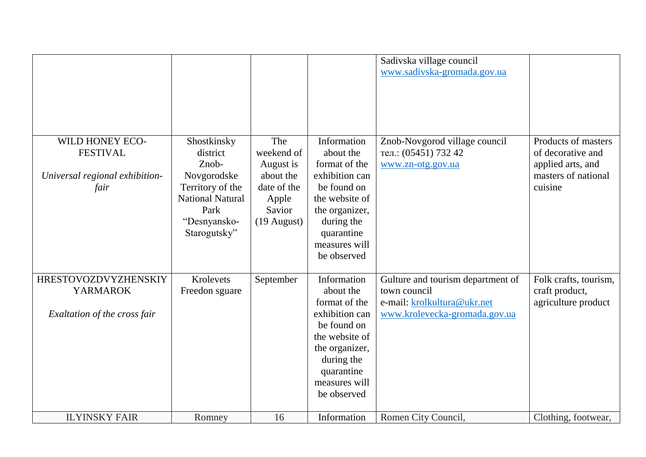|                                                                                |                                                                                                                                        |                                                                                                |                                                                                                                                                                            | Sadivska village council<br>www.sadivska-gromada.gov.ua                                                           |                                                                                                 |
|--------------------------------------------------------------------------------|----------------------------------------------------------------------------------------------------------------------------------------|------------------------------------------------------------------------------------------------|----------------------------------------------------------------------------------------------------------------------------------------------------------------------------|-------------------------------------------------------------------------------------------------------------------|-------------------------------------------------------------------------------------------------|
| WILD HONEY ECO-<br><b>FESTIVAL</b><br>Universal regional exhibition-<br>fair   | Shostkinsky<br>district<br>Znob-<br>Novgorodske<br>Territory of the<br><b>National Natural</b><br>Park<br>"Desnyansko-<br>Starogutsky" | The<br>weekend of<br>August is<br>about the<br>date of the<br>Apple<br>Savior<br>$(19$ August) | Information<br>about the<br>format of the<br>exhibition can<br>be found on<br>the website of<br>the organizer,<br>during the<br>quarantine<br>measures will<br>be observed | Znob-Novgorod village council<br>тел.: (05451) 732 42<br>www.zn-otg.gov.ua                                        | Products of masters<br>of decorative and<br>applied arts, and<br>masters of national<br>cuisine |
| <b>HRESTOVOZDVYZHENSKIY</b><br><b>YARMAROK</b><br>Exaltation of the cross fair | Krolevets<br>Freedon sguare                                                                                                            | September                                                                                      | Information<br>about the<br>format of the<br>exhibition can<br>be found on<br>the website of<br>the organizer,<br>during the<br>quarantine<br>measures will<br>be observed | Gulture and tourism department of<br>town council<br>e-mail: krolkultura@ukr.net<br>www.krolevecka-gromada.gov.ua | Folk crafts, tourism,<br>craft product,<br>agriculture product                                  |
| <b>ILYINSKY FAIR</b>                                                           | Romney                                                                                                                                 | 16                                                                                             | Information                                                                                                                                                                | Romen City Council,                                                                                               | Clothing, footwear,                                                                             |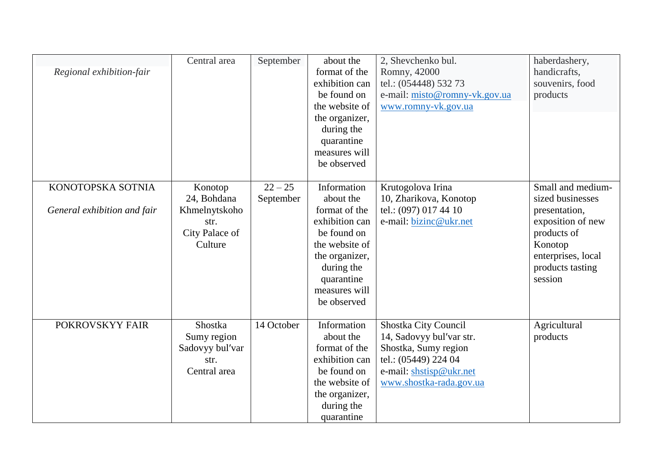| Regional exhibition-fair                         | Central area                                                                 | September              | about the<br>format of the<br>exhibition can<br>be found on<br>the website of<br>the organizer,<br>during the<br>quarantine<br>measures will<br>be observed                | 2, Shevchenko bul.<br>Romny, 42000<br>tel.: (054448) 532 73<br>e-mail: misto@romny-vk.gov.ua<br>www.romny-vk.gov.ua                                    | haberdashery,<br>handicrafts,<br>souvenirs, food<br>products                                                                                               |
|--------------------------------------------------|------------------------------------------------------------------------------|------------------------|----------------------------------------------------------------------------------------------------------------------------------------------------------------------------|--------------------------------------------------------------------------------------------------------------------------------------------------------|------------------------------------------------------------------------------------------------------------------------------------------------------------|
| KONOTOPSKA SOTNIA<br>General exhibition and fair | Konotop<br>24, Bohdana<br>Khmelnytskoho<br>str.<br>City Palace of<br>Culture | $22 - 25$<br>September | Information<br>about the<br>format of the<br>exhibition can<br>be found on<br>the website of<br>the organizer,<br>during the<br>quarantine<br>measures will<br>be observed | Krutogolova Irina<br>10, Zharikova, Konotop<br>tel.: (097) 017 44 10<br>e-mail: bizinc@ukr.net                                                         | Small and medium-<br>sized businesses<br>presentation,<br>exposition of new<br>products of<br>Konotop<br>enterprises, local<br>products tasting<br>session |
| POKROVSKYY FAIR                                  | Shostka<br>Sumy region<br>Sadovyy bul'var<br>str.<br>Central area            | 14 October             | Information<br>about the<br>format of the<br>exhibition can<br>be found on<br>the website of<br>the organizer,<br>during the<br>quarantine                                 | Shostka City Council<br>14, Sadovyy bul'var str.<br>Shostka, Sumy region<br>tel.: (05449) 224 04<br>e-mail: shstisp@ukr.net<br>www.shostka-rada.gov.ua | Agricultural<br>products                                                                                                                                   |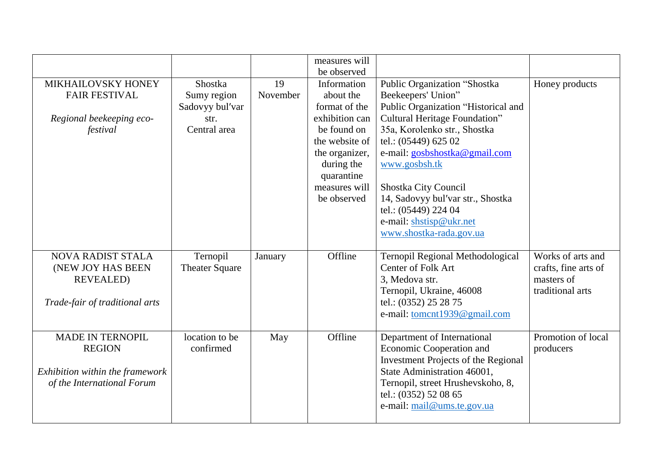|                                                                                                           |                                                                   |                | measures will<br>be observed                                                                                                                                               |                                                                                                                                                                                                                                                                                                                                                                                 |                                                                             |
|-----------------------------------------------------------------------------------------------------------|-------------------------------------------------------------------|----------------|----------------------------------------------------------------------------------------------------------------------------------------------------------------------------|---------------------------------------------------------------------------------------------------------------------------------------------------------------------------------------------------------------------------------------------------------------------------------------------------------------------------------------------------------------------------------|-----------------------------------------------------------------------------|
| MIKHAILOVSKY HONEY<br><b>FAIR FESTIVAL</b><br>Regional beekeeping eco-<br>festival                        | Shostka<br>Sumy region<br>Sadovyy bul'var<br>str.<br>Central area | 19<br>November | Information<br>about the<br>format of the<br>exhibition can<br>be found on<br>the website of<br>the organizer,<br>during the<br>quarantine<br>measures will<br>be observed | Public Organization "Shostka<br>Beekeepers' Union"<br>Public Organization "Historical and<br>Cultural Heritage Foundation"<br>35a, Korolenko str., Shostka<br>tel.: (05449) 625 02<br>e-mail: gosbshostka@gmail.com<br>www.gosbsh.tk<br>Shostka City Council<br>14, Sadovyy bul'var str., Shostka<br>tel.: (05449) 224 04<br>e-mail: shstisp@ukr.net<br>www.shostka-rada.gov.ua | Honey products                                                              |
| <b>NOVA RADIST STALA</b><br>(NEW JOY HAS BEEN<br><b>REVEALED)</b><br>Trade-fair of traditional arts       | Ternopil<br><b>Theater Square</b>                                 | January        | Offline                                                                                                                                                                    | Ternopil Regional Methodological<br>Center of Folk Art<br>3, Medova str.<br>Ternopil, Ukraine, 46008<br>tel.: (0352) 25 28 75<br>e-mail: tomcnt1939@gmail.com                                                                                                                                                                                                                   | Works of arts and<br>crafts, fine arts of<br>masters of<br>traditional arts |
| <b>MADE IN TERNOPIL</b><br><b>REGION</b><br>Exhibition within the framework<br>of the International Forum | location to be<br>confirmed                                       | May            | Offline                                                                                                                                                                    | Department of International<br>Economic Cooperation and<br><b>Investment Projects of the Regional</b><br>State Administration 46001,<br>Ternopil, street Hrushevskoho, 8,<br>tel.: (0352) 52 08 65<br>e-mail: mail@ums.te.gov.ua                                                                                                                                                | Promotion of local<br>producers                                             |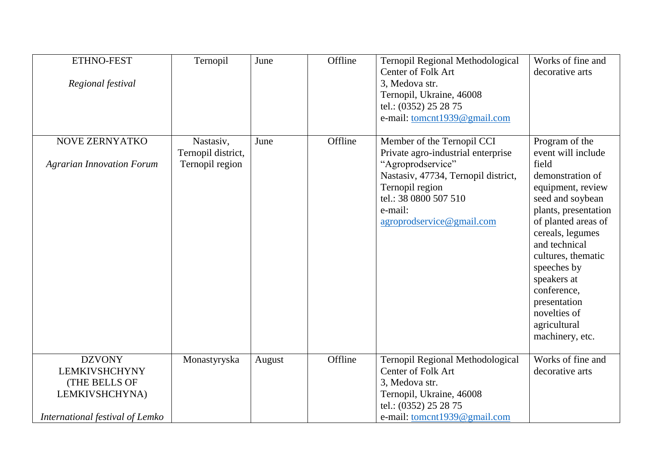| ETHNO-FEST<br>Regional festival                                                                                    | Ternopil                                           | June   | Offline | Ternopil Regional Methodological<br>Center of Folk Art<br>3, Medova str.<br>Ternopil, Ukraine, 46008<br>tel.: (0352) 25 28 75<br>e-mail: tomcnt1939@gmail.com                                                    | Works of fine and<br>decorative arts                                                                                                                                                                                                                                                                                                 |
|--------------------------------------------------------------------------------------------------------------------|----------------------------------------------------|--------|---------|------------------------------------------------------------------------------------------------------------------------------------------------------------------------------------------------------------------|--------------------------------------------------------------------------------------------------------------------------------------------------------------------------------------------------------------------------------------------------------------------------------------------------------------------------------------|
| NOVE ZERNYATKO<br><b>Agrarian Innovation Forum</b>                                                                 | Nastasiv,<br>Ternopil district,<br>Ternopil region | June   | Offline | Member of the Ternopil CCI<br>Private agro-industrial enterprise<br>"Agroprodservice"<br>Nastasiv, 47734, Ternopil district,<br>Ternopil region<br>tel.: 38 0800 507 510<br>e-mail:<br>agroprodservice@gmail.com | Program of the<br>event will include<br>field<br>demonstration of<br>equipment, review<br>seed and soybean<br>plants, presentation<br>of planted areas of<br>cereals, legumes<br>and technical<br>cultures, thematic<br>speeches by<br>speakers at<br>conference,<br>presentation<br>novelties of<br>agricultural<br>machinery, etc. |
| <b>DZVONY</b><br><b>LEMKIVSHCHYNY</b><br><b>(THE BELLS OF</b><br>LEMKIVSHCHYNA)<br>International festival of Lemko | Monastyryska                                       | August | Offline | Ternopil Regional Methodological<br>Center of Folk Art<br>3, Medova str.<br>Ternopil, Ukraine, 46008<br>tel.: (0352) 25 28 75<br>e-mail: tomcnt1939@gmail.com                                                    | Works of fine and<br>decorative arts                                                                                                                                                                                                                                                                                                 |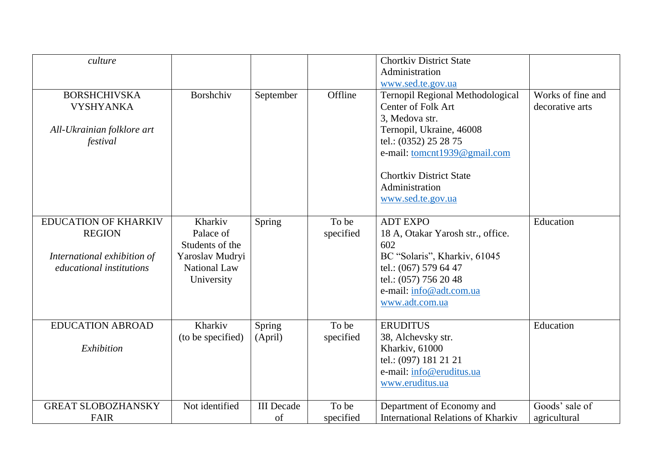| culture                                                                                                        |                                                                                                 |                         |                    | <b>Chortkiv District State</b><br>Administration<br>www.sed.te.gov.ua                                                                                                                                                                  |                                      |
|----------------------------------------------------------------------------------------------------------------|-------------------------------------------------------------------------------------------------|-------------------------|--------------------|----------------------------------------------------------------------------------------------------------------------------------------------------------------------------------------------------------------------------------------|--------------------------------------|
| <b>BORSHCHIVSKA</b><br><b>VYSHYANKA</b><br>All-Ukrainian folklore art<br>festival                              | Borshchiv                                                                                       | September               | Offline            | Ternopil Regional Methodological<br>Center of Folk Art<br>3, Medova str.<br>Ternopil, Ukraine, 46008<br>tel.: (0352) 25 28 75<br>e-mail: tomcnt1939@gmail.com<br><b>Chortkiv District State</b><br>Administration<br>www.sed.te.gov.ua | Works of fine and<br>decorative arts |
| <b>EDUCATION OF KHARKIV</b><br><b>REGION</b><br>International exhibition of<br><i>educational institutions</i> | Kharkiv<br>Palace of<br>Students of the<br>Yaroslav Mudryi<br><b>National Law</b><br>University | Spring                  | To be<br>specified | <b>ADT EXPO</b><br>18 A, Otakar Yarosh str., office.<br>602<br>BC "Solaris", Kharkiv, 61045<br>tel.: (067) 579 64 47<br>tel.: (057) 756 20 48<br>e-mail: info@adt.com.ua<br>www.adt.com.ua                                             | Education                            |
| <b>EDUCATION ABROAD</b><br>Exhibition                                                                          | Kharkiv<br>(to be specified)                                                                    | Spring<br>(April)       | To be<br>specified | <b>ERUDITUS</b><br>38, Alchevsky str.<br>Kharkiv, 61000<br>tel.: (097) 181 21 21<br>e-mail: info@eruditus.ua<br>www.eruditus.ua                                                                                                        | Education                            |
| <b>GREAT SLOBOZHANSKY</b><br><b>FAIR</b>                                                                       | Not identified                                                                                  | <b>III</b> Decade<br>of | To be<br>specified | Department of Economy and<br><b>International Relations of Kharkiv</b>                                                                                                                                                                 | Goods' sale of<br>agricultural       |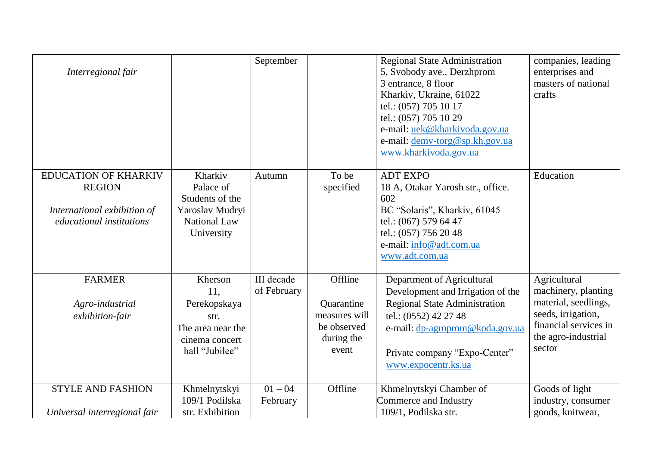| Interregional fair                                                                                             |                                                                                                 | September                        |                                                                              | <b>Regional State Administration</b><br>5, Svobody ave., Derzhprom<br>3 entrance, 8 floor<br>Kharkiv, Ukraine, 61022<br>tel.: (057) 705 10 17<br>tel.: (057) 705 10 29<br>e-mail: uek@kharkivoda.gov.ua<br>e-mail: demv-torg@sp.kh.gov.ua<br>www.kharkivoda.gov.ua | companies, leading<br>enterprises and<br>masters of national<br>crafts                                                                      |
|----------------------------------------------------------------------------------------------------------------|-------------------------------------------------------------------------------------------------|----------------------------------|------------------------------------------------------------------------------|--------------------------------------------------------------------------------------------------------------------------------------------------------------------------------------------------------------------------------------------------------------------|---------------------------------------------------------------------------------------------------------------------------------------------|
| <b>EDUCATION OF KHARKIV</b><br><b>REGION</b><br>International exhibition of<br><i>educational institutions</i> | Kharkiv<br>Palace of<br>Students of the<br>Yaroslav Mudryi<br><b>National Law</b><br>University | Autumn                           | To be<br>specified                                                           | <b>ADT EXPO</b><br>18 A, Otakar Yarosh str., office.<br>602<br>BC "Solaris", Kharkiv, 61045<br>tel.: (067) 579 64 47<br>tel.: (057) 756 20 48<br>e-mail: info@adt.com.ua<br>www.adt.com.ua                                                                         | Education                                                                                                                                   |
| <b>FARMER</b><br>Agro-industrial<br>exhibition-fair                                                            | Kherson<br>11,<br>Perekopskaya<br>str.<br>The area near the<br>cinema concert<br>hall "Jubilee" | <b>III</b> decade<br>of February | Offline<br>Quarantine<br>measures will<br>be observed<br>during the<br>event | Department of Agricultural<br>Development and Irrigation of the<br><b>Regional State Administration</b><br>tel.: (0552) 42 27 48<br>e-mail: dp-agroprom@koda.gov.ua<br>Private company "Expo-Center"<br>www.expocentr.ks.ua                                        | Agricultural<br>machinery, planting<br>material, seedlings,<br>seeds, irrigation,<br>financial services in<br>the agro-industrial<br>sector |
| <b>STYLE AND FASHION</b><br>Universal interregional fair                                                       | Khmelnytskyi<br>109/1 Podilska<br>str. Exhibition                                               | $01 - 04$<br>February            | Offline                                                                      | Khmelnytskyi Chamber of<br>Commerce and Industry<br>109/1, Podilska str.                                                                                                                                                                                           | Goods of light<br>industry, consumer<br>goods, knitwear,                                                                                    |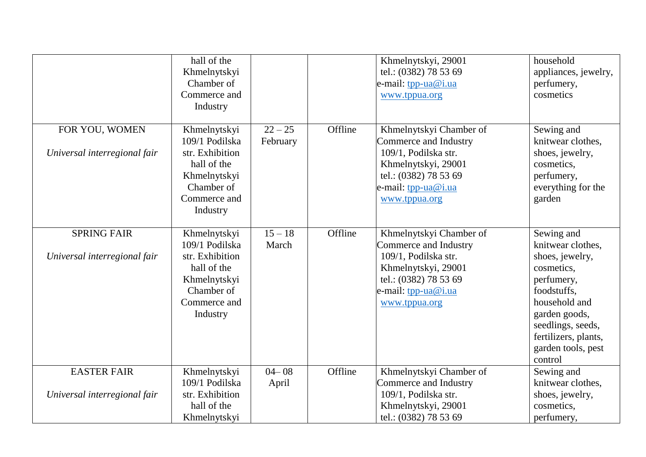|                                                    | hall of the<br>Khmelnytskyi<br>Chamber of<br>Commerce and<br>Industry                                                      |                       |         | Khmelnytskyi, 29001<br>tel.: (0382) 78 53 69<br>e-mail: tpp-ua@i.ua<br>www.tppua.org                                                                             | household<br>appliances, jewelry,<br>perfumery,<br>cosmetics                                                                                                                                                  |
|----------------------------------------------------|----------------------------------------------------------------------------------------------------------------------------|-----------------------|---------|------------------------------------------------------------------------------------------------------------------------------------------------------------------|---------------------------------------------------------------------------------------------------------------------------------------------------------------------------------------------------------------|
| FOR YOU, WOMEN<br>Universal interregional fair     | Khmelnytskyi<br>109/1 Podilska<br>str. Exhibition<br>hall of the<br>Khmelnytskyi<br>Chamber of<br>Commerce and<br>Industry | $22 - 25$<br>February | Offline | Khmelnytskyi Chamber of<br>Commerce and Industry<br>109/1, Podilska str.<br>Khmelnytskyi, 29001<br>tel.: (0382) 78 53 69<br>e-mail: tpp-ua@i.ua<br>www.tppua.org | Sewing and<br>knitwear clothes,<br>shoes, jewelry,<br>cosmetics,<br>perfumery,<br>everything for the<br>garden                                                                                                |
| <b>SPRING FAIR</b><br>Universal interregional fair | Khmelnytskyi<br>109/1 Podilska<br>str. Exhibition<br>hall of the<br>Khmelnytskyi<br>Chamber of<br>Commerce and<br>Industry | $15 - 18$<br>March    | Offline | Khmelnytskyi Chamber of<br>Commerce and Industry<br>109/1, Podilska str.<br>Khmelnytskyi, 29001<br>tel.: (0382) 78 53 69<br>e-mail: tpp-ua@i.ua<br>www.tppua.org | Sewing and<br>knitwear clothes,<br>shoes, jewelry,<br>cosmetics,<br>perfumery,<br>foodstuffs,<br>household and<br>garden goods,<br>seedlings, seeds,<br>fertilizers, plants,<br>garden tools, pest<br>control |
| <b>EASTER FAIR</b><br>Universal interregional fair | Khmelnytskyi<br>109/1 Podilska<br>str. Exhibition<br>hall of the                                                           | $04 - 08$<br>April    | Offline | Khmelnytskyi Chamber of<br>Commerce and Industry<br>109/1, Podilska str.<br>Khmelnytskyi, 29001                                                                  | Sewing and<br>knitwear clothes,<br>shoes, jewelry,<br>cosmetics,                                                                                                                                              |
|                                                    | Khmelnytskyi                                                                                                               |                       |         | tel.: (0382) 78 53 69                                                                                                                                            | perfumery,                                                                                                                                                                                                    |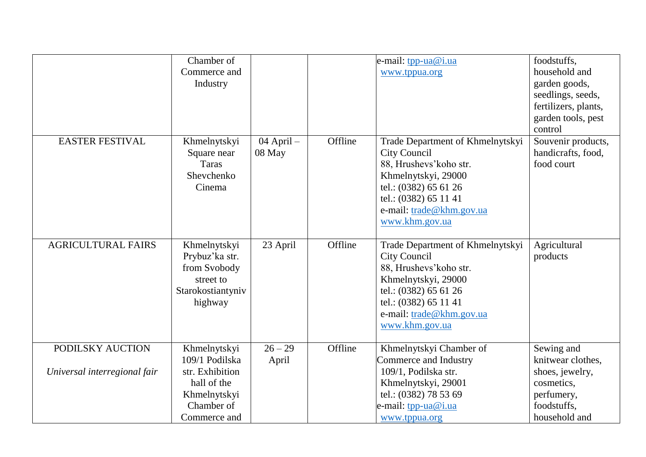|                                                  | Chamber of<br>Commerce and<br>Industry                                                                         |                      |         | e-mail: $tpp-ua@i.ua$<br>www.tppua.org                                                                                                                                                                    | foodstuffs,<br>household and<br>garden goods,<br>seedlings, seeds,<br>fertilizers, plants,<br>garden tools, pest<br>control |
|--------------------------------------------------|----------------------------------------------------------------------------------------------------------------|----------------------|---------|-----------------------------------------------------------------------------------------------------------------------------------------------------------------------------------------------------------|-----------------------------------------------------------------------------------------------------------------------------|
| <b>EASTER FESTIVAL</b>                           | Khmelnytskyi<br>Square near<br><b>Taras</b><br>Shevchenko<br>Cinema                                            | 04 April -<br>08 May | Offline | Trade Department of Khmelnytskyi<br>City Council<br>88, Hrushevs' koho str.<br>Khmelnytskyi, 29000<br>tel.: (0382) 65 61 26<br>tel.: (0382) 65 11 41<br>e-mail: trade@khm.gov.ua<br>www.khm.gov.ua        | Souvenir products,<br>handicrafts, food,<br>food court                                                                      |
| <b>AGRICULTURAL FAIRS</b>                        | Khmelnytskyi<br>Prybuz'ka str.<br>from Svobody<br>street to<br>Starokostiantyniv<br>highway                    | 23 April             | Offline | Trade Department of Khmelnytskyi<br><b>City Council</b><br>88, Hrushevs' koho str.<br>Khmelnytskyi, 29000<br>tel.: (0382) 65 61 26<br>tel.: (0382) 65 11 41<br>e-mail: trade@khm.gov.ua<br>www.khm.gov.ua | Agricultural<br>products                                                                                                    |
| PODILSKY AUCTION<br>Universal interregional fair | Khmelnytskyi<br>109/1 Podilska<br>str. Exhibition<br>hall of the<br>Khmelnytskyi<br>Chamber of<br>Commerce and | $26 - 29$<br>April   | Offline | Khmelnytskyi Chamber of<br>Commerce and Industry<br>109/1, Podilska str.<br>Khmelnytskyi, 29001<br>tel.: (0382) 78 53 69<br>e-mail: tpp-ua@i.ua<br>www.tppua.org                                          | Sewing and<br>knitwear clothes,<br>shoes, jewelry,<br>cosmetics,<br>perfumery,<br>foodstuffs.<br>household and              |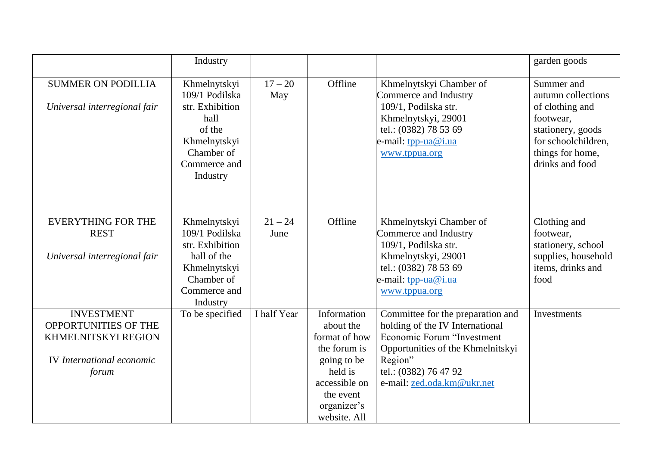|                                                                                                                                                              | Industry                                                                                                                      |                     |                                                                                                                                                  |                                                                                                                                                                                                                                                                                   | garden goods                                                                                                                                        |
|--------------------------------------------------------------------------------------------------------------------------------------------------------------|-------------------------------------------------------------------------------------------------------------------------------|---------------------|--------------------------------------------------------------------------------------------------------------------------------------------------|-----------------------------------------------------------------------------------------------------------------------------------------------------------------------------------------------------------------------------------------------------------------------------------|-----------------------------------------------------------------------------------------------------------------------------------------------------|
| <b>SUMMER ON PODILLIA</b><br>Universal interregional fair                                                                                                    | Khmelnytskyi<br>109/1 Podilska<br>str. Exhibition<br>hall<br>of the<br>Khmelnytskyi<br>Chamber of<br>Commerce and<br>Industry | $17 - 20$<br>May    | Offline                                                                                                                                          | Khmelnytskyi Chamber of<br>Commerce and Industry<br>109/1, Podilska str.<br>Khmelnytskyi, 29001<br>tel.: (0382) 78 53 69<br>e-mail: tpp-ua@i.ua<br>www.tppua.org                                                                                                                  | Summer and<br>autumn collections<br>of clothing and<br>footwear,<br>stationery, goods<br>for schoolchildren,<br>things for home,<br>drinks and food |
| <b>EVERYTHING FOR THE</b>                                                                                                                                    | Khmelnytskyi                                                                                                                  | $21 - 24$           | Offline                                                                                                                                          | Khmelnytskyi Chamber of                                                                                                                                                                                                                                                           | Clothing and                                                                                                                                        |
|                                                                                                                                                              |                                                                                                                               |                     |                                                                                                                                                  |                                                                                                                                                                                                                                                                                   |                                                                                                                                                     |
|                                                                                                                                                              |                                                                                                                               |                     |                                                                                                                                                  |                                                                                                                                                                                                                                                                                   |                                                                                                                                                     |
|                                                                                                                                                              | Khmelnytskyi                                                                                                                  |                     |                                                                                                                                                  | tel.: (0382) 78 53 69                                                                                                                                                                                                                                                             | items, drinks and                                                                                                                                   |
|                                                                                                                                                              | Chamber of                                                                                                                    |                     |                                                                                                                                                  | e-mail: tpp-ua@i.ua                                                                                                                                                                                                                                                               | food                                                                                                                                                |
|                                                                                                                                                              | Commerce and                                                                                                                  |                     |                                                                                                                                                  | www.tppua.org                                                                                                                                                                                                                                                                     |                                                                                                                                                     |
|                                                                                                                                                              | Industry                                                                                                                      |                     |                                                                                                                                                  |                                                                                                                                                                                                                                                                                   |                                                                                                                                                     |
|                                                                                                                                                              |                                                                                                                               |                     |                                                                                                                                                  |                                                                                                                                                                                                                                                                                   | Investments                                                                                                                                         |
|                                                                                                                                                              |                                                                                                                               |                     |                                                                                                                                                  |                                                                                                                                                                                                                                                                                   |                                                                                                                                                     |
|                                                                                                                                                              |                                                                                                                               |                     |                                                                                                                                                  |                                                                                                                                                                                                                                                                                   |                                                                                                                                                     |
|                                                                                                                                                              |                                                                                                                               |                     |                                                                                                                                                  |                                                                                                                                                                                                                                                                                   |                                                                                                                                                     |
|                                                                                                                                                              |                                                                                                                               |                     |                                                                                                                                                  |                                                                                                                                                                                                                                                                                   |                                                                                                                                                     |
|                                                                                                                                                              |                                                                                                                               |                     |                                                                                                                                                  |                                                                                                                                                                                                                                                                                   |                                                                                                                                                     |
|                                                                                                                                                              |                                                                                                                               |                     |                                                                                                                                                  |                                                                                                                                                                                                                                                                                   |                                                                                                                                                     |
|                                                                                                                                                              |                                                                                                                               |                     |                                                                                                                                                  |                                                                                                                                                                                                                                                                                   |                                                                                                                                                     |
|                                                                                                                                                              |                                                                                                                               |                     |                                                                                                                                                  |                                                                                                                                                                                                                                                                                   |                                                                                                                                                     |
| <b>REST</b><br>Universal interregional fair<br><b>INVESTMENT</b><br>OPPORTUNITIES OF THE<br>KHMELNITSKYI REGION<br><b>IV</b> International economic<br>forum | 109/1 Podilska<br>str. Exhibition<br>hall of the<br>To be specified                                                           | June<br>I half Year | Information<br>about the<br>format of how<br>the forum is<br>going to be<br>held is<br>accessible on<br>the event<br>organizer's<br>website. All | Commerce and Industry<br>109/1, Podilska str.<br>Khmelnytskyi, 29001<br>Committee for the preparation and<br>holding of the IV International<br>Economic Forum "Investment<br>Opportunities of the Khmelnitskyi<br>Region"<br>tel.: (0382) 76 47 92<br>e-mail: zed.oda.km@ukr.net | footwear,<br>stationery, school<br>supplies, household                                                                                              |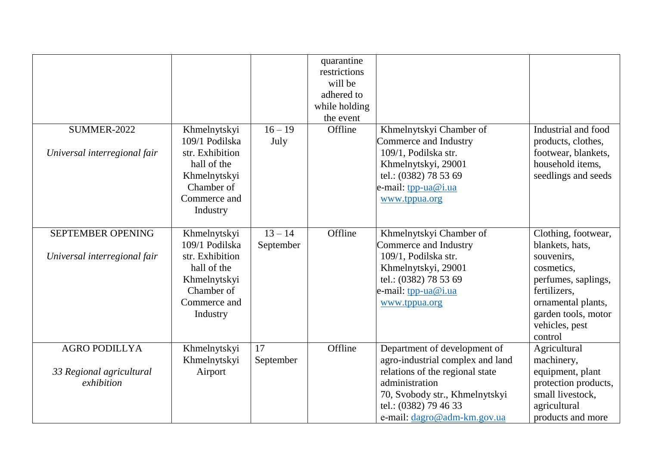|                                                                |                                                                                                                            |                        | quarantine<br>restrictions<br>will be<br>adhered to<br>while holding<br>the event |                                                                                                                                                                                                                 |                                                                                                                                                                                     |
|----------------------------------------------------------------|----------------------------------------------------------------------------------------------------------------------------|------------------------|-----------------------------------------------------------------------------------|-----------------------------------------------------------------------------------------------------------------------------------------------------------------------------------------------------------------|-------------------------------------------------------------------------------------------------------------------------------------------------------------------------------------|
| <b>SUMMER-2022</b>                                             | Khmelnytskyi                                                                                                               | $16 - 19$              | Offline                                                                           | Khmelnytskyi Chamber of                                                                                                                                                                                         | Industrial and food                                                                                                                                                                 |
| Universal interregional fair                                   | 109/1 Podilska<br>str. Exhibition<br>hall of the<br>Khmelnytskyi<br>Chamber of<br>Commerce and<br>Industry                 | July                   |                                                                                   | Commerce and Industry<br>109/1, Podilska str.<br>Khmelnytskyi, 29001<br>tel.: (0382) 78 53 69<br>e-mail: tpp-ua@i.ua<br>www.tppua.org                                                                           | products, clothes,<br>footwear, blankets,<br>household items,<br>seedlings and seeds                                                                                                |
| <b>SEPTEMBER OPENING</b><br>Universal interregional fair       | Khmelnytskyi<br>109/1 Podilska<br>str. Exhibition<br>hall of the<br>Khmelnytskyi<br>Chamber of<br>Commerce and<br>Industry | $13 - 14$<br>September | Offline                                                                           | Khmelnytskyi Chamber of<br>Commerce and Industry<br>109/1, Podilska str.<br>Khmelnytskyi, 29001<br>tel.: (0382) 78 53 69<br>e-mail: tpp-ua@i.ua<br>www.tppua.org                                                | Clothing, footwear,<br>blankets, hats,<br>souvenirs,<br>cosmetics,<br>perfumes, saplings,<br>fertilizers,<br>ornamental plants,<br>garden tools, motor<br>vehicles, pest<br>control |
| <b>AGRO PODILLYA</b><br>33 Regional agricultural<br>exhibition | Khmelnytskyi<br>Khmelnytskyi<br>Airport                                                                                    | 17<br>September        | Offline                                                                           | Department of development of<br>agro-industrial complex and land<br>relations of the regional state<br>administration<br>70, Svobody str., Khmelnytskyi<br>tel.: (0382) 79 46 33<br>e-mail: dagro@adm-km.gov.ua | Agricultural<br>machinery,<br>equipment, plant<br>protection products,<br>small livestock,<br>agricultural<br>products and more                                                     |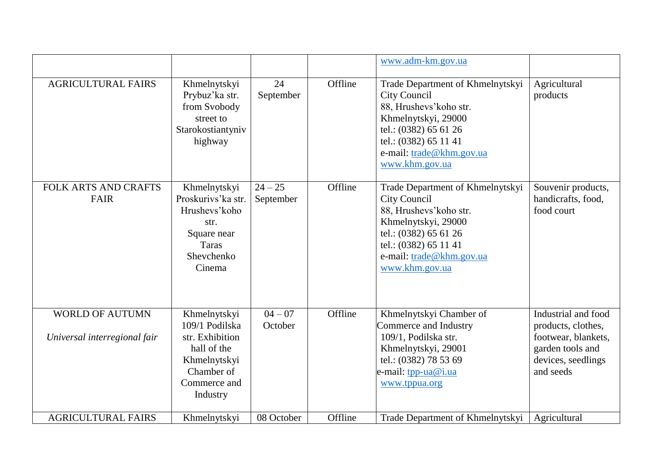|                                                        |                                                                                                                            |                        |         | www.adm-km.gov.ua                                                                                                                                                                                         |                                                                                                                         |
|--------------------------------------------------------|----------------------------------------------------------------------------------------------------------------------------|------------------------|---------|-----------------------------------------------------------------------------------------------------------------------------------------------------------------------------------------------------------|-------------------------------------------------------------------------------------------------------------------------|
| <b>AGRICULTURAL FAIRS</b>                              | Khmelnytskyi<br>Prybuz'ka str.<br>from Svobody<br>street to<br>Starokostiantyniv<br>highway                                | 24<br>September        | Offline | Trade Department of Khmelnytskyi<br><b>City Council</b><br>88, Hrushevs' koho str.<br>Khmelnytskyi, 29000<br>tel.: (0382) 65 61 26<br>tel.: (0382) 65 11 41<br>e-mail: trade@khm.gov.ua<br>www.khm.gov.ua | Agricultural<br>products                                                                                                |
| <b>FOLK ARTS AND CRAFTS</b><br>FAIR                    | Khmelnytskyi<br>Proskurivs' ka str.<br>Hrushevs' koho<br>str.<br>Square near<br>Taras<br>Shevchenko<br>Cinema              | $24 - 25$<br>September | Offline | Trade Department of Khmelnytskyi<br><b>City Council</b><br>88, Hrushevs' koho str.<br>Khmelnytskyi, 29000<br>tel.: (0382) 65 61 26<br>tel.: (0382) 65 11 41<br>e-mail: trade@khm.gov.ua<br>www.khm.gov.ua | Souvenir products,<br>handicrafts, food,<br>food court                                                                  |
| <b>WORLD OF AUTUMN</b><br>Universal interregional fair | Khmelnytskyi<br>109/1 Podilska<br>str. Exhibition<br>hall of the<br>Khmelnytskyi<br>Chamber of<br>Commerce and<br>Industry | $04 - 07$<br>October   | Offline | Khmelnytskyi Chamber of<br>Commerce and Industry<br>109/1, Podilska str.<br>Khmelnytskyi, 29001<br>tel.: (0382) 78 53 69<br>e-mail: tpp-ua@i.ua<br>www.tppua.org                                          | Industrial and food<br>products, clothes,<br>footwear, blankets,<br>garden tools and<br>devices, seedlings<br>and seeds |
| <b>AGRICULTURAL FAIRS</b>                              | Khmelnytskyi                                                                                                               | 08 October             | Offline | Trade Department of Khmelnytskyi                                                                                                                                                                          | Agricultural                                                                                                            |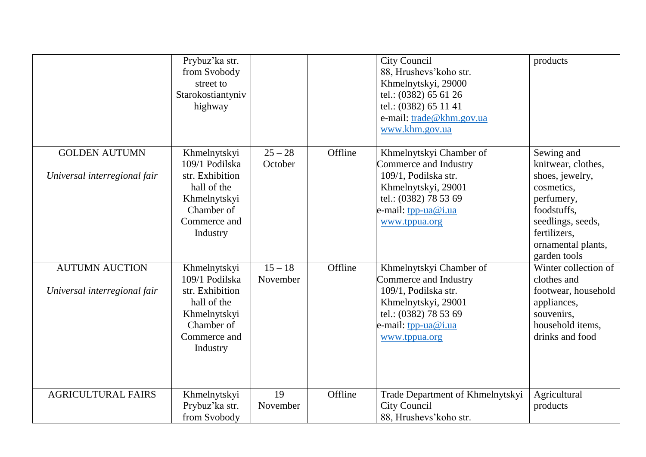|                              | Prybuz'ka str.<br>from Svobody<br>street to<br>Starokostiantyniv<br>highway              |                       |         | City Council<br>88, Hrushevs' koho str.<br>Khmelnytskyi, 29000<br>tel.: (0382) 65 61 26<br>tel.: (0382) 65 11 41<br>e-mail: trade@khm.gov.ua<br>www.khm.gov.ua | products                                                                                                                              |
|------------------------------|------------------------------------------------------------------------------------------|-----------------------|---------|----------------------------------------------------------------------------------------------------------------------------------------------------------------|---------------------------------------------------------------------------------------------------------------------------------------|
| <b>GOLDEN AUTUMN</b>         | Khmelnytskyi<br>109/1 Podilska                                                           | $25 - 28$<br>October  | Offline | Khmelnytskyi Chamber of<br>Commerce and Industry                                                                                                               | Sewing and<br>knitwear, clothes,                                                                                                      |
| Universal interregional fair | str. Exhibition<br>hall of the<br>Khmelnytskyi<br>Chamber of<br>Commerce and<br>Industry |                       |         | 109/1, Podilska str.<br>Khmelnytskyi, 29001<br>tel.: (0382) 78 53 69<br>e-mail: tpp-ua@i.ua<br>www.tppua.org                                                   | shoes, jewelry,<br>cosmetics,<br>perfumery,<br>foodstuffs,<br>seedlings, seeds,<br>fertilizers,<br>ornamental plants,<br>garden tools |
| <b>AUTUMN AUCTION</b>        | Khmelnytskyi<br>109/1 Podilska                                                           | $15 - 18$<br>November | Offline | Khmelnytskyi Chamber of<br>Commerce and Industry                                                                                                               | Winter collection of<br>clothes and                                                                                                   |
| Universal interregional fair | str. Exhibition<br>hall of the<br>Khmelnytskyi<br>Chamber of<br>Commerce and<br>Industry |                       |         | 109/1, Podilska str.<br>Khmelnytskyi, 29001<br>tel.: (0382) 78 53 69<br>e-mail: <u>tpp-ua@i.ua</u><br>www.tppua.org                                            | footwear, household<br>appliances,<br>souvenirs,<br>household items,<br>drinks and food                                               |
| <b>AGRICULTURAL FAIRS</b>    | Khmelnytskyi<br>Prybuz'ka str.<br>from Svobody                                           | 19<br>November        | Offline | Trade Department of Khmelnytskyi<br><b>City Council</b><br>88, Hrushevs' koho str.                                                                             | Agricultural<br>products                                                                                                              |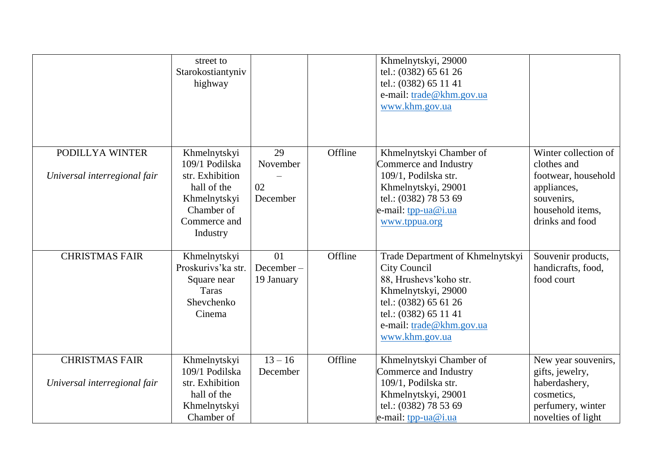|                              | street to<br>Starokostiantyniv<br>highway                                                  |                               |         | Khmelnytskyi, 29000<br>tel.: (0382) 65 61 26<br>tel.: (0382) 65 11 41<br>e-mail: trade@khm.gov.ua<br>www.khm.gov.ua                                                                     |                                                        |
|------------------------------|--------------------------------------------------------------------------------------------|-------------------------------|---------|-----------------------------------------------------------------------------------------------------------------------------------------------------------------------------------------|--------------------------------------------------------|
| PODILLYA WINTER              |                                                                                            | 29                            | Offline |                                                                                                                                                                                         | Winter collection of                                   |
|                              | Khmelnytskyi<br>109/1 Podilska                                                             | November                      |         | Khmelnytskyi Chamber of<br>Commerce and Industry                                                                                                                                        | clothes and                                            |
| Universal interregional fair | str. Exhibition                                                                            |                               |         | 109/1, Podilska str.                                                                                                                                                                    | footwear, household                                    |
|                              | hall of the                                                                                | 02                            |         | Khmelnytskyi, 29001                                                                                                                                                                     | appliances,                                            |
|                              | Khmelnytskyi                                                                               | December                      |         | tel.: (0382) 78 53 69                                                                                                                                                                   | souvenirs,                                             |
|                              | Chamber of                                                                                 |                               |         | e-mail: tpp-ua@i.ua                                                                                                                                                                     | household items,                                       |
|                              | Commerce and                                                                               |                               |         | www.tppua.org                                                                                                                                                                           | drinks and food                                        |
|                              | Industry                                                                                   |                               |         |                                                                                                                                                                                         |                                                        |
| <b>CHRISTMAS FAIR</b>        | Khmelnytskyi<br>Proskurivs' ka str.<br>Square near<br><b>Taras</b><br>Shevchenko<br>Cinema | 01<br>December-<br>19 January | Offline | Trade Department of Khmelnytskyi<br><b>City Council</b><br>88, Hrushevs' koho str.<br>Khmelnytskyi, 29000<br>tel.: (0382) 65 61 26<br>tel.: (0382) 65 11 41<br>e-mail: trade@khm.gov.ua | Souvenir products,<br>handicrafts, food,<br>food court |
|                              |                                                                                            |                               |         | www.khm.gov.ua                                                                                                                                                                          |                                                        |
| <b>CHRISTMAS FAIR</b>        | Khmelnytskyi                                                                               | $13 - 16$                     | Offline | Khmelnytskyi Chamber of                                                                                                                                                                 | New year souvenirs,                                    |
|                              | 109/1 Podilska                                                                             | December                      |         | Commerce and Industry                                                                                                                                                                   | gifts, jewelry,                                        |
| Universal interregional fair | str. Exhibition                                                                            |                               |         | 109/1, Podilska str.                                                                                                                                                                    | haberdashery,                                          |
|                              | hall of the                                                                                |                               |         | Khmelnytskyi, 29001                                                                                                                                                                     | cosmetics,                                             |
|                              | Khmelnytskyi<br>Chamber of                                                                 |                               |         | tel.: (0382) 78 53 69<br>e-mail: $tpp-ua@i.ua$                                                                                                                                          | perfumery, winter<br>novelties of light                |
|                              |                                                                                            |                               |         |                                                                                                                                                                                         |                                                        |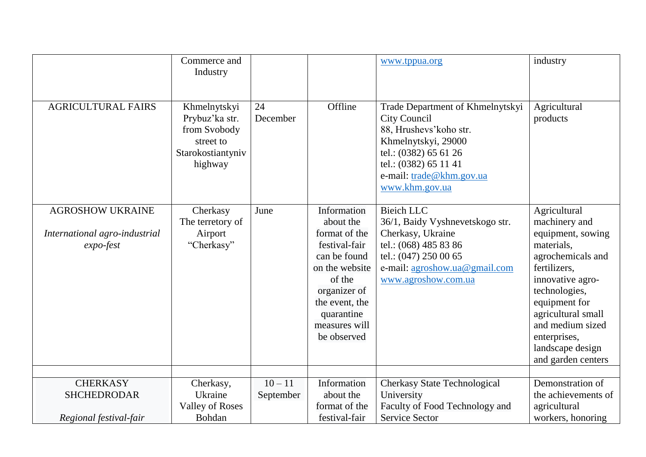|                                                                       | Commerce and<br>Industry                                                                    |                        |                                                                                                                                                                                        | www.tppua.org                                                                                                                                                                                      | industry                                                                                                                                                                                                                                                        |
|-----------------------------------------------------------------------|---------------------------------------------------------------------------------------------|------------------------|----------------------------------------------------------------------------------------------------------------------------------------------------------------------------------------|----------------------------------------------------------------------------------------------------------------------------------------------------------------------------------------------------|-----------------------------------------------------------------------------------------------------------------------------------------------------------------------------------------------------------------------------------------------------------------|
| <b>AGRICULTURAL FAIRS</b>                                             | Khmelnytskyi<br>Prybuz'ka str.<br>from Svobody<br>street to<br>Starokostiantyniv<br>highway | 24<br>December         | Offline                                                                                                                                                                                | Trade Department of Khmelnytskyi<br>City Council<br>88, Hrushevs' koho str.<br>Khmelnytskyi, 29000<br>tel.: (0382) 65 61 26<br>tel.: (0382) 65 11 41<br>e-mail: trade@khm.gov.ua<br>www.khm.gov.ua | Agricultural<br>products                                                                                                                                                                                                                                        |
| <b>AGROSHOW UKRAINE</b><br>International agro-industrial<br>expo-fest | Cherkasy<br>The terretory of<br>Airport<br>"Cherkasy"                                       | June                   | Information<br>about the<br>format of the<br>festival-fair<br>can be found<br>on the website<br>of the<br>organizer of<br>the event, the<br>quarantine<br>measures will<br>be observed | <b>Bieich LLC</b><br>36/1, Baidy Vyshnevetskogo str.<br>Cherkasy, Ukraine<br>tel.: (068) 485 83 86<br>tel.: (047) 250 00 65<br>e-mail: agroshow.ua@gmail.com<br>www.agroshow.com.ua                | Agricultural<br>machinery and<br>equipment, sowing<br>materials,<br>agrochemicals and<br>fertilizers.<br>innovative agro-<br>technologies,<br>equipment for<br>agricultural small<br>and medium sized<br>enterprises,<br>landscape design<br>and garden centers |
| <b>CHERKASY</b><br><b>SHCHEDRODAR</b>                                 | Cherkasy,<br>Ukraine<br><b>Valley of Roses</b>                                              | $10 - 11$<br>September | Information<br>about the<br>format of the                                                                                                                                              | <b>Cherkasy State Technological</b><br>University<br>Faculty of Food Technology and                                                                                                                | Demonstration of<br>the achievements of<br>agricultural                                                                                                                                                                                                         |
| Regional festival-fair                                                | Bohdan                                                                                      |                        | festival-fair                                                                                                                                                                          | <b>Service Sector</b>                                                                                                                                                                              | workers, honoring                                                                                                                                                                                                                                               |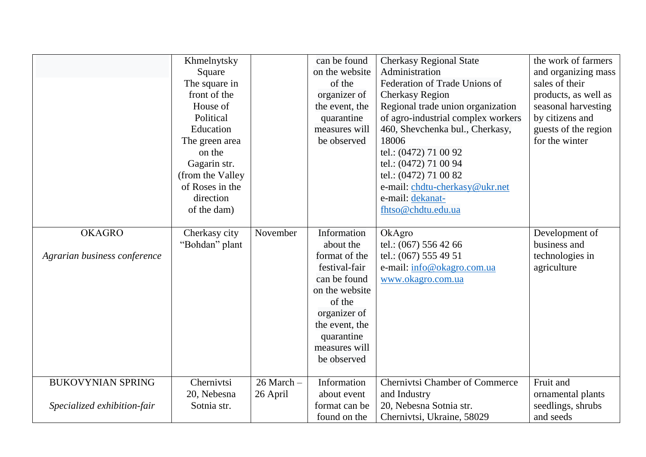|                                                         | Khmelnytsky<br>Square<br>The square in<br>front of the<br>House of<br>Political<br>Education<br>The green area<br>on the<br>Gagarin str.<br>(from the Valley<br>of Roses in the<br>direction |                            | can be found<br>on the website<br>of the<br>organizer of<br>the event, the<br>quarantine<br>measures will<br>be observed                                                               | <b>Cherkasy Regional State</b><br>Administration<br>Federation of Trade Unions of<br><b>Cherkasy Region</b><br>Regional trade union organization<br>of agro-industrial complex workers<br>460, Shevchenka bul., Cherkasy,<br>18006<br>tel.: (0472) 71 00 92<br>tel.: (0472) 71 00 94<br>tel.: (0472) 71 00 82<br>e-mail: chdtu-cherkasy@ukr.net<br>e-mail: dekanat- | the work of farmers<br>and organizing mass<br>sales of their<br>products, as well as<br>seasonal harvesting<br>by citizens and<br>guests of the region<br>for the winter |
|---------------------------------------------------------|----------------------------------------------------------------------------------------------------------------------------------------------------------------------------------------------|----------------------------|----------------------------------------------------------------------------------------------------------------------------------------------------------------------------------------|---------------------------------------------------------------------------------------------------------------------------------------------------------------------------------------------------------------------------------------------------------------------------------------------------------------------------------------------------------------------|--------------------------------------------------------------------------------------------------------------------------------------------------------------------------|
|                                                         | of the dam)                                                                                                                                                                                  |                            |                                                                                                                                                                                        | fhtso@chdtu.edu.ua                                                                                                                                                                                                                                                                                                                                                  |                                                                                                                                                                          |
| <b>OKAGRO</b><br>Agrarian business conference           | Cherkasy city<br>"Bohdan" plant                                                                                                                                                              | November                   | Information<br>about the<br>format of the<br>festival-fair<br>can be found<br>on the website<br>of the<br>organizer of<br>the event, the<br>quarantine<br>measures will<br>be observed | OkAgro<br>tel.: (067) 556 42 66<br>tel.: (067) 555 49 51<br>e-mail: info@okagro.com.ua<br>www.okagro.com.ua                                                                                                                                                                                                                                                         | Development of<br>business and<br>technologies in<br>agriculture                                                                                                         |
| <b>BUKOVYNIAN SPRING</b><br>Specialized exhibition-fair | Chernivtsi<br>20, Nebesna<br>Sotnia str.                                                                                                                                                     | $26$ March $-$<br>26 April | Information<br>about event<br>format can be<br>found on the                                                                                                                            | <b>Chernivtsi Chamber of Commerce</b><br>and Industry<br>20, Nebesna Sotnia str.<br>Chernivtsi, Ukraine, 58029                                                                                                                                                                                                                                                      | Fruit and<br>ornamental plants<br>seedlings, shrubs<br>and seeds                                                                                                         |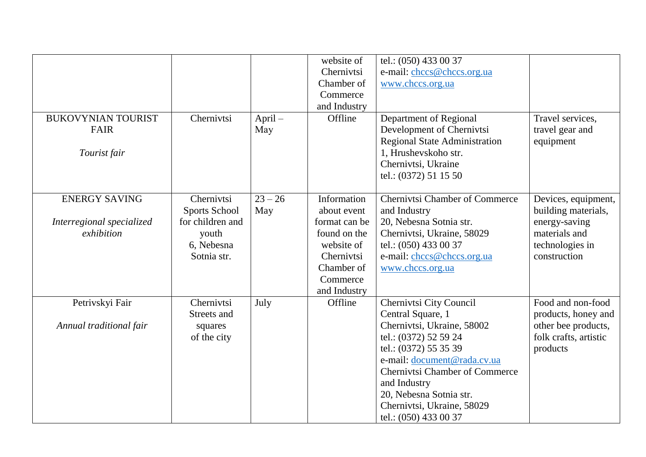| <b>BUKOVYNIAN TOURIST</b><br>FAIR<br>Tourist fair               | Chernivtsi                                                                            | $April -$<br>May | website of<br>Chernivtsi<br>Chamber of<br>Commerce<br>and Industry<br>Offline                                                     | tel.: (050) 433 00 37<br>e-mail: chccs@chccs.org.ua<br>www.chccs.org.ua<br>Department of Regional<br>Development of Chernivtsi<br>Regional State Administration<br>1, Hrushevskoho str.<br>Chernivtsi, Ukraine<br>tel.: (0372) 51 15 50                                                                | Travel services,<br>travel gear and<br>equipment                                                                |
|-----------------------------------------------------------------|---------------------------------------------------------------------------------------|------------------|-----------------------------------------------------------------------------------------------------------------------------------|--------------------------------------------------------------------------------------------------------------------------------------------------------------------------------------------------------------------------------------------------------------------------------------------------------|-----------------------------------------------------------------------------------------------------------------|
| <b>ENERGY SAVING</b><br>Interregional specialized<br>exhibition | Chernivtsi<br>Sports School<br>for children and<br>youth<br>6, Nebesna<br>Sotnia str. | $23 - 26$<br>May | Information<br>about event<br>format can be<br>found on the<br>website of<br>Chernivtsi<br>Chamber of<br>Commerce<br>and Industry | <b>Chernivtsi Chamber of Commerce</b><br>and Industry<br>20, Nebesna Sotnia str.<br>Chernivtsi, Ukraine, 58029<br>tel.: (050) 433 00 37<br>e-mail: chccs@chccs.org.ua<br>www.chccs.org.ua                                                                                                              | Devices, equipment,<br>building materials,<br>energy-saving<br>materials and<br>technologies in<br>construction |
| Petrivskyi Fair<br>Annual traditional fair                      | Chernivtsi<br>Streets and<br>squares<br>of the city                                   | July             | Offline                                                                                                                           | Chernivtsi City Council<br>Central Square, 1<br>Chernivtsi, Ukraine, 58002<br>tel.: (0372) 52 59 24<br>tel.: (0372) 55 35 39<br>e-mail: document@rada.cv.ua<br><b>Chernivtsi Chamber of Commerce</b><br>and Industry<br>20, Nebesna Sotnia str.<br>Chernivtsi, Ukraine, 58029<br>tel.: (050) 433 00 37 | Food and non-food<br>products, honey and<br>other bee products,<br>folk crafts, artistic<br>products            |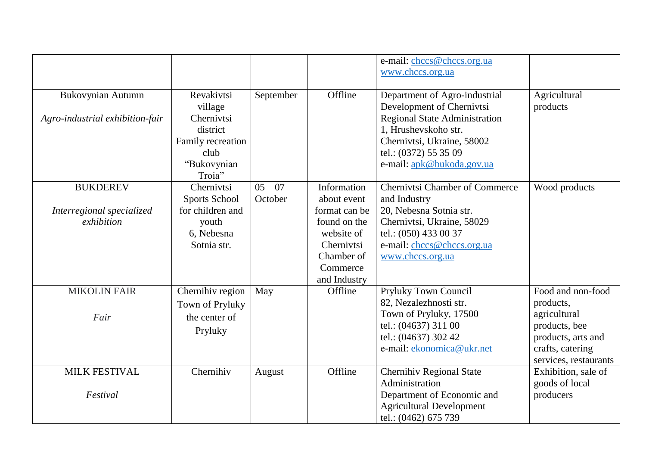|                                 |                   |           |               | e-mail: chccs@chccs.org.ua<br>www.chccs.org.ua |                       |
|---------------------------------|-------------------|-----------|---------------|------------------------------------------------|-----------------------|
| <b>Bukovynian Autumn</b>        | Revakivtsi        | September | Offline       | Department of Agro-industrial                  | Agricultural          |
|                                 | village           |           |               | Development of Chernivtsi                      | products              |
| Agro-industrial exhibition-fair | Chernivtsi        |           |               | <b>Regional State Administration</b>           |                       |
|                                 | district          |           |               | 1, Hrushevskoho str.                           |                       |
|                                 | Family recreation |           |               | Chernivtsi, Ukraine, 58002                     |                       |
|                                 | club              |           |               | tel.: (0372) 55 35 09                          |                       |
|                                 | "Bukovynian       |           |               | e-mail: apk@bukoda.gov.ua                      |                       |
|                                 | Troia"            |           |               |                                                |                       |
| <b>BUKDEREV</b>                 | Chernivtsi        | $05 - 07$ | Information   | <b>Chernivtsi Chamber of Commerce</b>          | Wood products         |
|                                 | Sports School     | October   | about event   | and Industry                                   |                       |
| Interregional specialized       | for children and  |           | format can be | 20, Nebesna Sotnia str.                        |                       |
| exhibition                      | youth             |           | found on the  | Chernivtsi, Ukraine, 58029                     |                       |
|                                 | 6, Nebesna        |           | website of    | tel.: (050) 433 00 37                          |                       |
|                                 | Sotnia str.       |           | Chernivtsi    | e-mail: chccs@chccs.org.ua                     |                       |
|                                 |                   |           | Chamber of    | www.chccs.org.ua                               |                       |
|                                 |                   |           | Commerce      |                                                |                       |
|                                 |                   |           | and Industry  |                                                |                       |
| <b>MIKOLIN FAIR</b>             | Chernihiv region  | May       | Offline       | Pryluky Town Council                           | Food and non-food     |
|                                 | Town of Pryluky   |           |               | 82, Nezalezhnosti str.                         | products,             |
| Fair                            | the center of     |           |               | Town of Pryluky, 17500                         | agricultural          |
|                                 | Pryluky           |           |               | tel.: (04637) 311 00                           | products, bee         |
|                                 |                   |           |               | tel.: (04637) 302 42                           | products, arts and    |
|                                 |                   |           |               | e-mail: ekonomica@ukr.net                      | crafts, catering      |
|                                 |                   |           |               |                                                | services, restaurants |
| <b>MILK FESTIVAL</b>            | Chernihiv         | August    | Offline       | Chernihiv Regional State                       | Exhibition, sale of   |
|                                 |                   |           |               | Administration                                 | goods of local        |
| Festival                        |                   |           |               | Department of Economic and                     | producers             |
|                                 |                   |           |               | <b>Agricultural Development</b>                |                       |
|                                 |                   |           |               | tel.: (0462) 675 739                           |                       |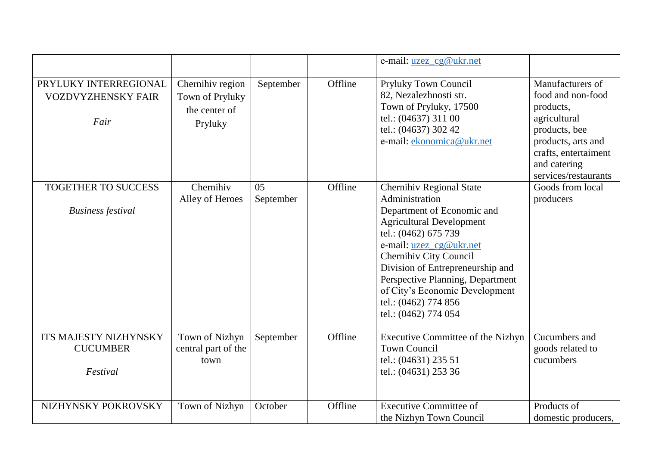|                                                            |                                                                 |                 |         | e-mail: uzez_cg@ukr.net                                                                                                                                                                                                                                                                                                                                   |                                                                                                                                                                           |
|------------------------------------------------------------|-----------------------------------------------------------------|-----------------|---------|-----------------------------------------------------------------------------------------------------------------------------------------------------------------------------------------------------------------------------------------------------------------------------------------------------------------------------------------------------------|---------------------------------------------------------------------------------------------------------------------------------------------------------------------------|
| PRYLUKY INTERREGIONAL<br><b>VOZDVYZHENSKY FAIR</b><br>Fair | Chernihiv region<br>Town of Pryluky<br>the center of<br>Pryluky | September       | Offline | Pryluky Town Council<br>82, Nezalezhnosti str.<br>Town of Pryluky, 17500<br>tel.: (04637) 311 00<br>tel.: (04637) 302 42<br>e-mail: ekonomica@ukr.net                                                                                                                                                                                                     | Manufacturers of<br>food and non-food<br>products,<br>agricultural<br>products, bee<br>products, arts and<br>crafts, entertaiment<br>and catering<br>services/restaurants |
| TOGETHER TO SUCCESS<br><b>Business festival</b>            | Chernihiv<br>Alley of Heroes                                    | 05<br>September | Offline | Chernihiv Regional State<br>Administration<br>Department of Economic and<br><b>Agricultural Development</b><br>tel.: (0462) 675 739<br>e-mail: <u>uzez_cg@ukr.net</u><br>Chernihiv City Council<br>Division of Entrepreneurship and<br>Perspective Planning, Department<br>of City's Economic Development<br>tel.: (0462) 774 856<br>tel.: (0462) 774 054 | Goods from local<br>producers                                                                                                                                             |
| ITS MAJESTY NIZHYNSKY<br><b>CUCUMBER</b><br>Festival       | Town of Nizhyn<br>central part of the<br>town                   | September       | Offline | Executive Committee of the Nizhyn<br><b>Town Council</b><br>tel.: (04631) 235 51<br>tel.: (04631) 253 36                                                                                                                                                                                                                                                  | Cucumbers and<br>goods related to<br>cucumbers                                                                                                                            |
| NIZHYNSKY POKROVSKY                                        | Town of Nizhyn                                                  | October         | Offline | <b>Executive Committee of</b><br>the Nizhyn Town Council                                                                                                                                                                                                                                                                                                  | Products of<br>domestic producers,                                                                                                                                        |